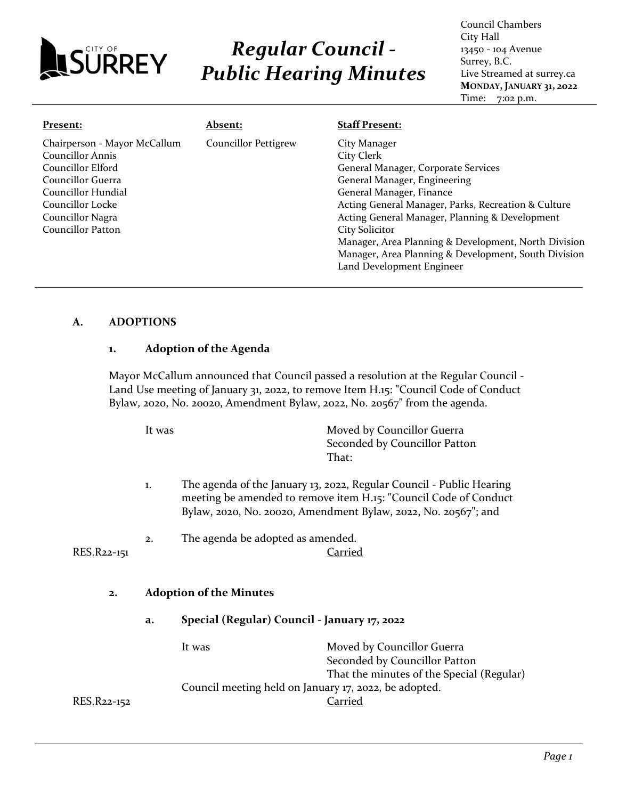

# *Regular Council - Public Hearing Minutes*

Council Chambers City Hall 13450 - 104 Avenue Surrey, B.C. Live Streamed at surrey.ca **MONDAY, JANUARY 31, 2022** Time: 7:02 p.m.

| Present:                                                                                                                                                                      | <b>Absent:</b>              | <b>Staff Present:</b>                                                                                                                                                                                                                                                                                                                                                                                 |
|-------------------------------------------------------------------------------------------------------------------------------------------------------------------------------|-----------------------------|-------------------------------------------------------------------------------------------------------------------------------------------------------------------------------------------------------------------------------------------------------------------------------------------------------------------------------------------------------------------------------------------------------|
| Chairperson - Mayor McCallum<br>Councillor Annis<br>Councillor Elford<br>Councillor Guerra<br>Councillor Hundial<br>Councillor Locke<br>Councillor Nagra<br>Councillor Patton | <b>Councillor Pettigrew</b> | City Manager<br>City Clerk<br>General Manager, Corporate Services<br>General Manager, Engineering<br>General Manager, Finance<br>Acting General Manager, Parks, Recreation & Culture<br>Acting General Manager, Planning & Development<br>City Solicitor<br>Manager, Area Planning & Development, North Division<br>Manager, Area Planning & Development, South Division<br>Land Development Engineer |

### **A. ADOPTIONS**

#### **1. Adoption of the Agenda**

Mayor McCallum announced that Council passed a resolution at the Regular Council - Land Use meeting of January 31, 2022, to remove Item H.15: "Council Code of Conduct Bylaw, 2020, No. 20020, Amendment Bylaw, 2022, No. 20567" from the agenda.

It was Moved by Councillor Guerra Seconded by Councillor Patton That: 1. The agenda of the January 13, 2022, Regular Council - Public Hearing meeting be amended to remove item H.15: "Council Code of Conduct Bylaw, 2020, No. 20020, Amendment Bylaw, 2022, No. 20567"; and 2. The agenda be adopted as amended. RES.R22-151 Carried **2. Adoption of the Minutes a. Special (Regular) Council - January 17, 2022** It was Moved by Councillor Guerra Seconded by Councillor Patton That the minutes of the Special (Regular) Council meeting held on January 17, 2022, be adopted. RES.R22-152 Carried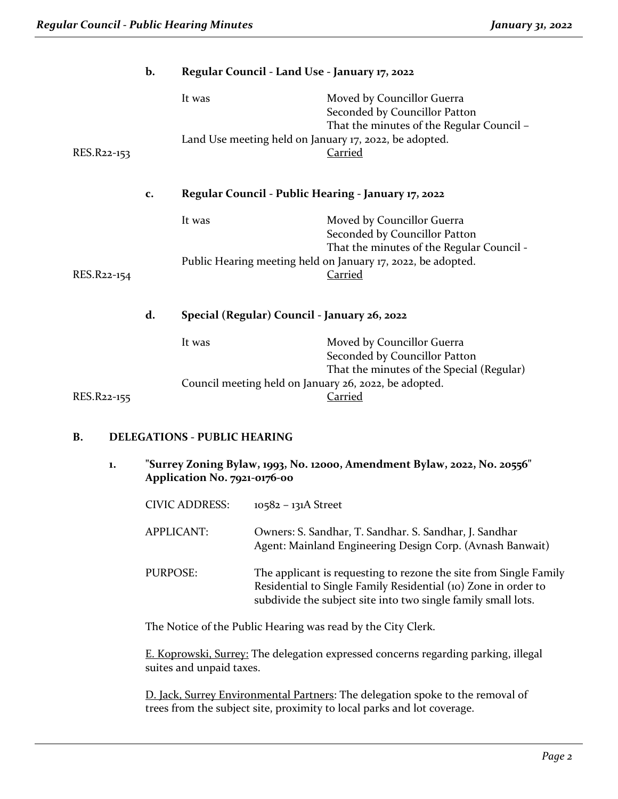|             | b. | Regular Council - Land Use - January 17, 2022          |                                                                                                          |
|-------------|----|--------------------------------------------------------|----------------------------------------------------------------------------------------------------------|
|             |    | It was                                                 | Moved by Councillor Guerra<br>Seconded by Councillor Patton<br>That the minutes of the Regular Council - |
| RES.R22-153 |    | Land Use meeting held on January 17, 2022, be adopted. | <u>Carried</u>                                                                                           |
|             | c. | Regular Council - Public Hearing - January 17, 2022    |                                                                                                          |
|             |    | It was                                                 | Moved by Councillor Guerra<br>Seconded by Councillor Patton<br>That the minutes of the Regular Council - |
| RES.R22-154 |    |                                                        | Public Hearing meeting held on January 17, 2022, be adopted.<br><u>Carried</u>                           |
|             | d. | Special (Regular) Council - January 26, 2022           |                                                                                                          |
|             |    | It was                                                 | Moved by Councillor Guerra<br>Seconded by Councillor Patton                                              |
| RES.R22-155 |    | Council meeting held on January 26, 2022, be adopted.  | That the minutes of the Special (Regular)<br>Carried                                                     |
|             |    |                                                        |                                                                                                          |

#### **B. DELEGATIONS - PUBLIC HEARING**

**1. "Surrey Zoning Bylaw, 1993, No. 12000, Amendment Bylaw, 2022, No. 20556" Application No. 7921-0176-00**

| <b>CIVIC ADDRESS:</b> | $10582 - 131A$ Street                                                                                                                                                                                |
|-----------------------|------------------------------------------------------------------------------------------------------------------------------------------------------------------------------------------------------|
| APPLICANT:            | Owners: S. Sandhar, T. Sandhar. S. Sandhar, J. Sandhar<br>Agent: Mainland Engineering Design Corp. (Avnash Banwait)                                                                                  |
| <b>PURPOSE:</b>       | The applicant is requesting to rezone the site from Single Family<br>Residential to Single Family Residential (10) Zone in order to<br>subdivide the subject site into two single family small lots. |

The Notice of the Public Hearing was read by the City Clerk.

E. Koprowski, Surrey: The delegation expressed concerns regarding parking, illegal suites and unpaid taxes.

D. Jack, Surrey Environmental Partners: The delegation spoke to the removal of trees from the subject site, proximity to local parks and lot coverage.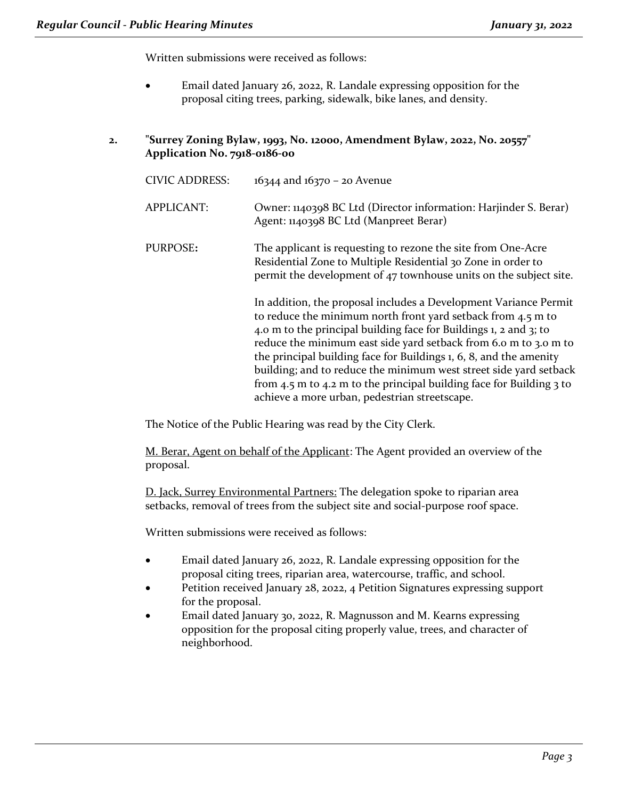Written submissions were received as follows:

- Email dated January 26, 2022, R. Landale expressing opposition for the proposal citing trees, parking, sidewalk, bike lanes, and density.
- **2. "Surrey Zoning Bylaw, 1993, No. 12000, Amendment Bylaw, 2022, No. 20557" Application No. 7918-0186-00**

| <b>CIVIC ADDRESS:</b> | $16344$ and $16370 - 20$ Avenue                                                                                                                                                                                                                                                                                                                                                                                                                                                                                                                           |
|-----------------------|-----------------------------------------------------------------------------------------------------------------------------------------------------------------------------------------------------------------------------------------------------------------------------------------------------------------------------------------------------------------------------------------------------------------------------------------------------------------------------------------------------------------------------------------------------------|
| <b>APPLICANT:</b>     | Owner: 1140398 BC Ltd (Director information: Harjinder S. Berar)<br>Agent: 1140398 BC Ltd (Manpreet Berar)                                                                                                                                                                                                                                                                                                                                                                                                                                                |
| PURPOSE:              | The applicant is requesting to rezone the site from One-Acre<br>Residential Zone to Multiple Residential 30 Zone in order to<br>permit the development of 47 townhouse units on the subject site.                                                                                                                                                                                                                                                                                                                                                         |
|                       | In addition, the proposal includes a Development Variance Permit<br>to reduce the minimum north front yard setback from 4.5 m to<br>4.0 m to the principal building face for Buildings 1, 2 and 3; to<br>reduce the minimum east side yard setback from 6.0 m to 3.0 m to<br>the principal building face for Buildings 1, 6, 8, and the amenity<br>building; and to reduce the minimum west street side yard setback<br>from 4.5 m to 4.2 m to the principal building face for Building $\frac{1}{2}$ to<br>achieve a more urban, pedestrian streetscape. |

The Notice of the Public Hearing was read by the City Clerk.

M. Berar, Agent on behalf of the Applicant: The Agent provided an overview of the proposal.

D. Jack, Surrey Environmental Partners: The delegation spoke to riparian area setbacks, removal of trees from the subject site and social-purpose roof space.

Written submissions were received as follows:

- Email dated January 26, 2022, R. Landale expressing opposition for the proposal citing trees, riparian area, watercourse, traffic, and school.
- Petition received January 28, 2022, 4 Petition Signatures expressing support for the proposal.
- Email dated January 30, 2022, R. Magnusson and M. Kearns expressing opposition for the proposal citing properly value, trees, and character of neighborhood.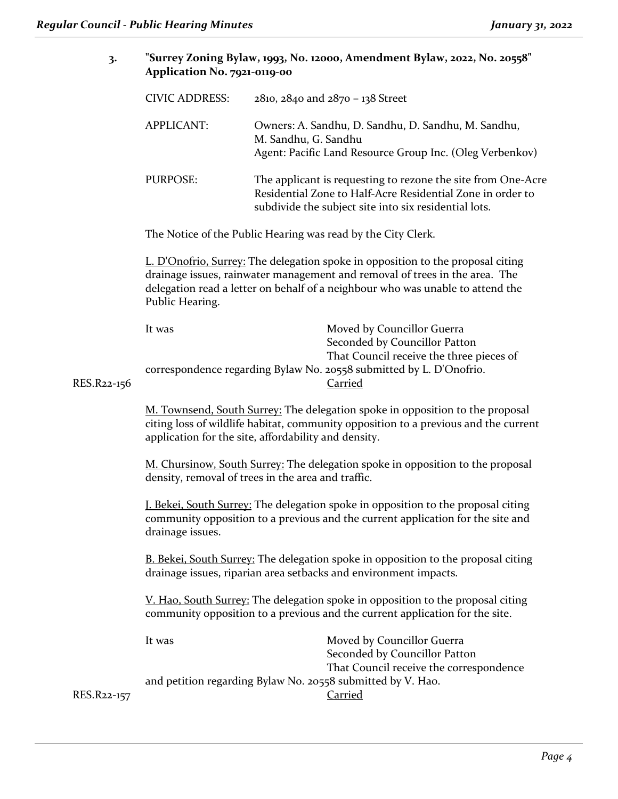| 3.                                                           | "Surrey Zoning Bylaw, 1993, No. 12000, Amendment Bylaw, 2022, No. 20558"<br>Application No. 7921-0119-00                                                                                                                     |                                                                                                                                                                                                                                                  |  |
|--------------------------------------------------------------|------------------------------------------------------------------------------------------------------------------------------------------------------------------------------------------------------------------------------|--------------------------------------------------------------------------------------------------------------------------------------------------------------------------------------------------------------------------------------------------|--|
|                                                              | <b>CIVIC ADDRESS:</b>                                                                                                                                                                                                        | 2810, 2840 and 2870 - 138 Street                                                                                                                                                                                                                 |  |
|                                                              | <b>APPLICANT:</b>                                                                                                                                                                                                            | Owners: A. Sandhu, D. Sandhu, D. Sandhu, M. Sandhu,<br>M. Sandhu, G. Sandhu<br>Agent: Pacific Land Resource Group Inc. (Oleg Verbenkov)                                                                                                          |  |
|                                                              | <b>PURPOSE:</b>                                                                                                                                                                                                              | The applicant is requesting to rezone the site from One-Acre<br>Residential Zone to Half-Acre Residential Zone in order to<br>subdivide the subject site into six residential lots.                                                              |  |
| The Notice of the Public Hearing was read by the City Clerk. |                                                                                                                                                                                                                              |                                                                                                                                                                                                                                                  |  |
|                                                              | Public Hearing.                                                                                                                                                                                                              | L. D'Onofrio, Surrey: The delegation spoke in opposition to the proposal citing<br>drainage issues, rainwater management and removal of trees in the area. The<br>delegation read a letter on behalf of a neighbour who was unable to attend the |  |
|                                                              | It was                                                                                                                                                                                                                       | Moved by Councillor Guerra                                                                                                                                                                                                                       |  |
| RES.R22-156                                                  | Seconded by Councillor Patton<br>That Council receive the three pieces of<br>correspondence regarding Bylaw No. 20558 submitted by L. D'Onofrio.<br><b>Carried</b>                                                           |                                                                                                                                                                                                                                                  |  |
|                                                              | M. Townsend, South Surrey: The delegation spoke in opposition to the proposal<br>citing loss of wildlife habitat, community opposition to a previous and the current<br>application for the site, affordability and density. |                                                                                                                                                                                                                                                  |  |
|                                                              | M. Chursinow, South Surrey: The delegation spoke in opposition to the proposal<br>density, removal of trees in the area and traffic.                                                                                         |                                                                                                                                                                                                                                                  |  |
|                                                              | J. Bekei, South Surrey: The delegation spoke in opposition to the proposal citing<br>community opposition to a previous and the current application for the site and<br>drainage issues.                                     |                                                                                                                                                                                                                                                  |  |
|                                                              | B. Bekei, South Surrey: The delegation spoke in opposition to the proposal citing<br>drainage issues, riparian area setbacks and environment impacts.                                                                        |                                                                                                                                                                                                                                                  |  |
|                                                              | <u>V. Hao, South Surrey:</u> The delegation spoke in opposition to the proposal citing<br>community opposition to a previous and the current application for the site.                                                       |                                                                                                                                                                                                                                                  |  |
|                                                              | It was                                                                                                                                                                                                                       | Moved by Councillor Guerra<br>Seconded by Councillor Patton                                                                                                                                                                                      |  |
| RES.R22-157                                                  |                                                                                                                                                                                                                              | That Council receive the correspondence<br>and petition regarding Bylaw No. 20558 submitted by V. Hao.<br>Carried                                                                                                                                |  |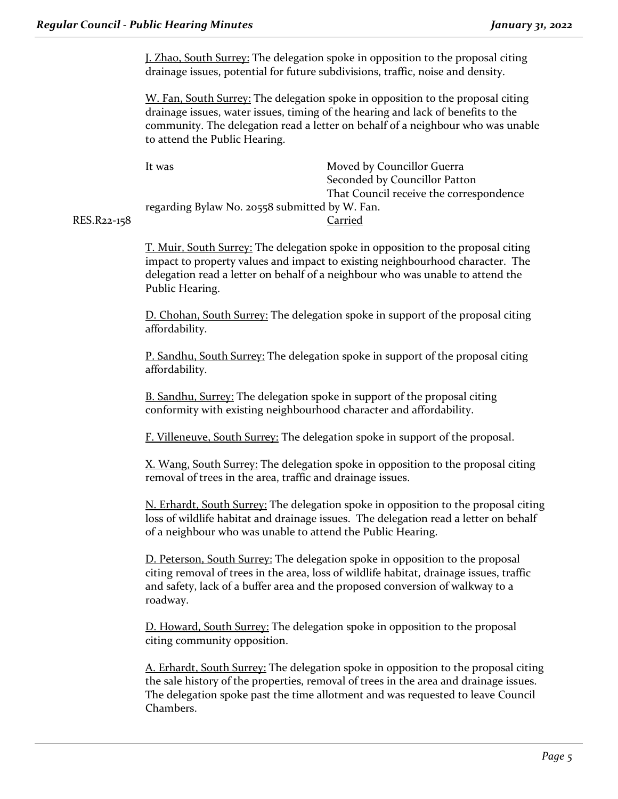J. Zhao, South Surrey: The delegation spoke in opposition to the proposal citing drainage issues, potential for future subdivisions, traffic, noise and density.

W. Fan, South Surrey: The delegation spoke in opposition to the proposal citing drainage issues, water issues, timing of the hearing and lack of benefits to the community. The delegation read a letter on behalf of a neighbour who was unable to attend the Public Hearing.

| lt was                                         | Moved by Councillor Guerra              |
|------------------------------------------------|-----------------------------------------|
|                                                | Seconded by Councillor Patton           |
|                                                | That Council receive the correspondence |
| regarding Bylaw No. 20558 submitted by W. Fan. |                                         |
|                                                | Carried                                 |
|                                                |                                         |

RES.R<sub>22-15</sub>8

T. Muir, South Surrey: The delegation spoke in opposition to the proposal citing impact to property values and impact to existing neighbourhood character. The delegation read a letter on behalf of a neighbour who was unable to attend the Public Hearing.

D. Chohan, South Surrey: The delegation spoke in support of the proposal citing affordability.

P. Sandhu, South Surrey: The delegation spoke in support of the proposal citing affordability.

B. Sandhu, Surrey: The delegation spoke in support of the proposal citing conformity with existing neighbourhood character and affordability.

F. Villeneuve, South Surrey: The delegation spoke in support of the proposal.

X. Wang, South Surrey: The delegation spoke in opposition to the proposal citing removal of trees in the area, traffic and drainage issues.

N. Erhardt, South Surrey: The delegation spoke in opposition to the proposal citing loss of wildlife habitat and drainage issues. The delegation read a letter on behalf of a neighbour who was unable to attend the Public Hearing.

D. Peterson, South Surrey: The delegation spoke in opposition to the proposal citing removal of trees in the area, loss of wildlife habitat, drainage issues, traffic and safety, lack of a buffer area and the proposed conversion of walkway to a roadway.

D. Howard, South Surrey: The delegation spoke in opposition to the proposal citing community opposition.

A. Erhardt, South Surrey: The delegation spoke in opposition to the proposal citing the sale history of the properties, removal of trees in the area and drainage issues. The delegation spoke past the time allotment and was requested to leave Council Chambers.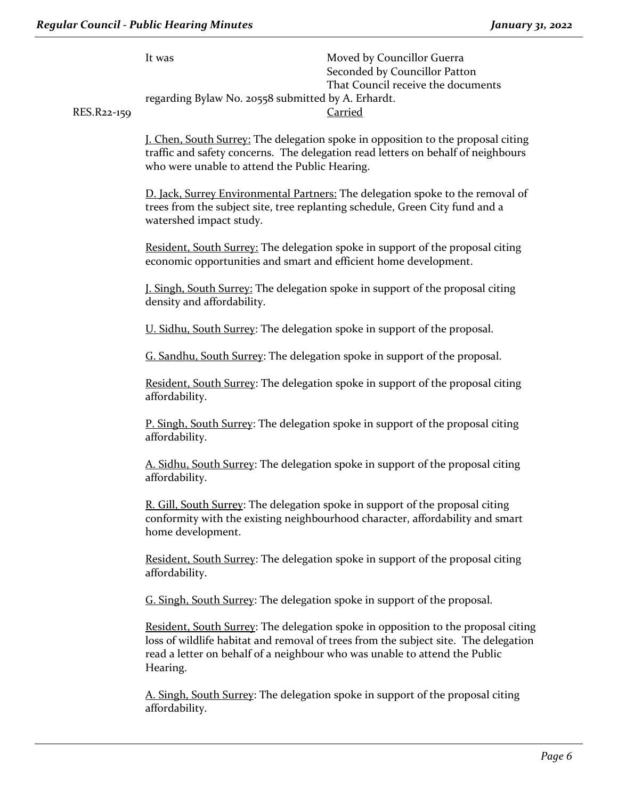| RES.R22-159 | It was<br>regarding Bylaw No. 20558 submitted by A. Erhardt.                                                        | Moved by Councillor Guerra<br>Seconded by Councillor Patton<br>That Council receive the documents<br><b>Carried</b>                                                                                                                                    |  |  |
|-------------|---------------------------------------------------------------------------------------------------------------------|--------------------------------------------------------------------------------------------------------------------------------------------------------------------------------------------------------------------------------------------------------|--|--|
|             | who were unable to attend the Public Hearing.                                                                       | J. Chen, South Surrey: The delegation spoke in opposition to the proposal citing<br>traffic and safety concerns. The delegation read letters on behalf of neighbours                                                                                   |  |  |
|             | watershed impact study.                                                                                             | D. Jack, Surrey Environmental Partners: The delegation spoke to the removal of<br>trees from the subject site, tree replanting schedule, Green City fund and a                                                                                         |  |  |
|             | economic opportunities and smart and efficient home development.                                                    | Resident, South Surrey: The delegation spoke in support of the proposal citing                                                                                                                                                                         |  |  |
|             | <b>J. Singh, South Surrey:</b> The delegation spoke in support of the proposal citing<br>density and affordability. |                                                                                                                                                                                                                                                        |  |  |
|             | U. Sidhu, South Surrey: The delegation spoke in support of the proposal.                                            |                                                                                                                                                                                                                                                        |  |  |
|             | G. Sandhu, South Surrey: The delegation spoke in support of the proposal.                                           |                                                                                                                                                                                                                                                        |  |  |
|             | affordability.                                                                                                      | Resident, South Surrey: The delegation spoke in support of the proposal citing                                                                                                                                                                         |  |  |
|             | affordability.                                                                                                      | <b>P. Singh, South Surrey:</b> The delegation spoke in support of the proposal citing                                                                                                                                                                  |  |  |
|             | affordability.                                                                                                      | A. Sidhu, South Surrey: The delegation spoke in support of the proposal citing                                                                                                                                                                         |  |  |
|             | home development.                                                                                                   | R. Gill, South Surrey: The delegation spoke in support of the proposal citing<br>conformity with the existing neighbourhood character, affordability and smart                                                                                         |  |  |
|             | affordability.                                                                                                      | Resident, South Surrey: The delegation spoke in support of the proposal citing                                                                                                                                                                         |  |  |
|             | G. Singh, South Surrey: The delegation spoke in support of the proposal.                                            |                                                                                                                                                                                                                                                        |  |  |
|             | Hearing.                                                                                                            | Resident, South Surrey: The delegation spoke in opposition to the proposal citing<br>loss of wildlife habitat and removal of trees from the subject site. The delegation<br>read a letter on behalf of a neighbour who was unable to attend the Public |  |  |
|             | affordability.                                                                                                      | A. Singh, South Surrey: The delegation spoke in support of the proposal citing                                                                                                                                                                         |  |  |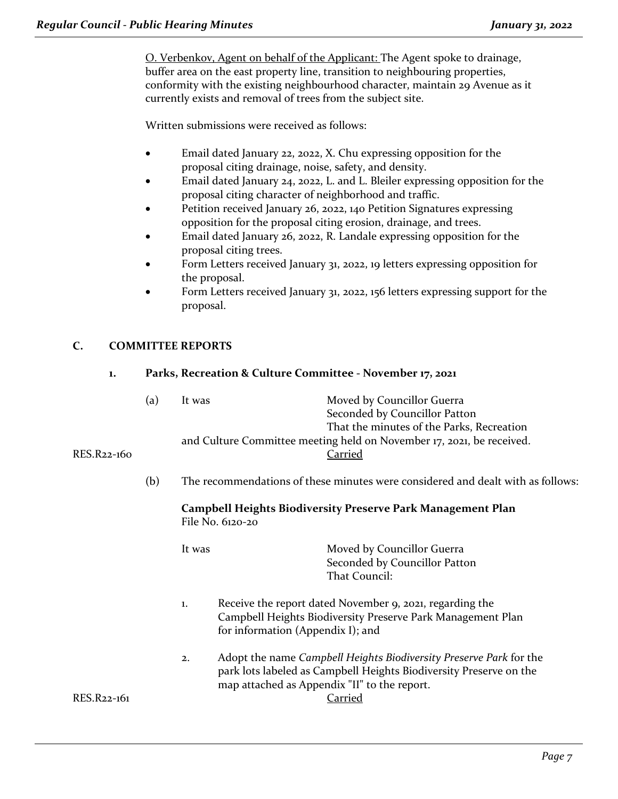O. Verbenkov, Agent on behalf of the Applicant: The Agent spoke to drainage, buffer area on the east property line, transition to neighbouring properties, conformity with the existing neighbourhood character, maintain 29 Avenue as it currently exists and removal of trees from the subject site.

Written submissions were received as follows:

- Email dated January 22, 2022, X. Chu expressing opposition for the proposal citing drainage, noise, safety, and density.
- Email dated January 24, 2022, L. and L. Bleiler expressing opposition for the proposal citing character of neighborhood and traffic.
- Petition received January 26, 2022, 140 Petition Signatures expressing opposition for the proposal citing erosion, drainage, and trees.
- Email dated January 26, 2022, R. Landale expressing opposition for the proposal citing trees.
- Form Letters received January 31, 2022, 19 letters expressing opposition for the proposal.
- Form Letters received January 31, 2022, 156 letters expressing support for the proposal.

### **C. COMMITTEE REPORTS**

#### **1. Parks, Recreation & Culture Committee - November 17, 2021**

|             | (a) | It was | Moved by Councillor Guerra                                            |
|-------------|-----|--------|-----------------------------------------------------------------------|
|             |     |        | Seconded by Councillor Patton                                         |
|             |     |        | That the minutes of the Parks, Recreation                             |
|             |     |        | and Culture Committee meeting held on November 17, 2021, be received. |
| RES.R22-160 |     |        | Carried                                                               |

(b) The recommendations of these minutes were considered and dealt with as follows:

#### **Campbell Heights Biodiversity Preserve Park Management Plan** File No. 6120-20

It was **Moved by Councillor Guerra** Seconded by Councillor Patton That Council:

- 1. Receive the report dated November 9, 2021, regarding the Campbell Heights Biodiversity Preserve Park Management Plan for information (Appendix I); and
- 2. Adopt the name *Campbell Heights Biodiversity Preserve Park* for the park lots labeled as Campbell Heights Biodiversity Preserve on the map attached as Appendix "II" to the report. RES.R22-161 Carried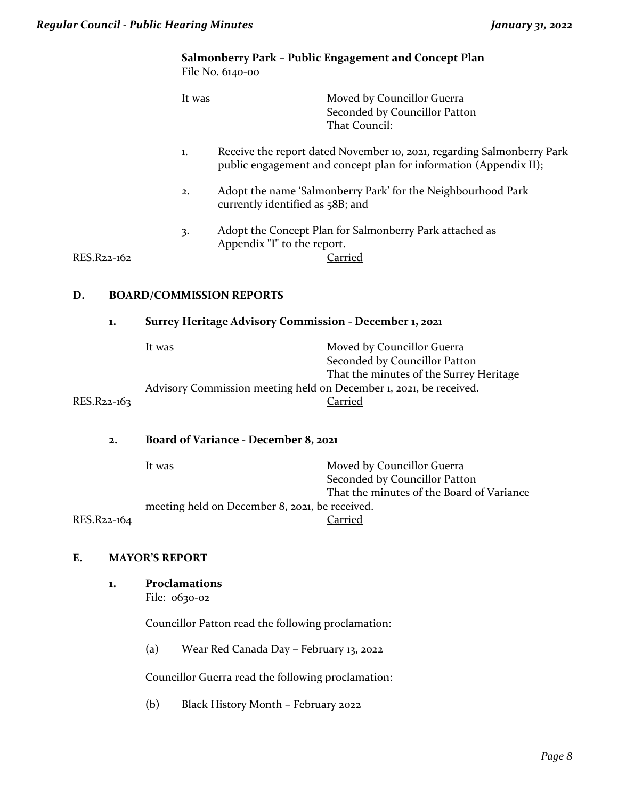#### **Salmonberry Park – Public Engagement and Concept Plan** File No. 6140-00

| It was | Moved by Councillor Guerra    |
|--------|-------------------------------|
|        | Seconded by Councillor Patton |
|        | That Council:                 |

#### 1. Receive the report dated November 10, 2021, regarding Salmonberry Park public engagement and concept plan for information (Appendix II);

- 2. Adopt the name 'Salmonberry Park' for the Neighbourhood Park currently identified as 58B; and
- 3. Adopt the Concept Plan for Salmonberry Park attached as Appendix "I" to the report.

 $RES.R22-162$ 

#### **D. BOARD/COMMISSION REPORTS**

#### **1. Surrey Heritage Advisory Commission - December 1, 2021**

|             | It was                                                             | Moved by Councillor Guerra              |
|-------------|--------------------------------------------------------------------|-----------------------------------------|
|             |                                                                    | Seconded by Councillor Patton           |
|             |                                                                    | That the minutes of the Surrey Heritage |
|             | Advisory Commission meeting held on December 1, 2021, be received. |                                         |
| RES.R22-163 |                                                                    | Carried                                 |
|             |                                                                    |                                         |

#### **2. Board of Variance - December 8, 2021**

|             | It was                                         | Moved by Councillor Guerra                |
|-------------|------------------------------------------------|-------------------------------------------|
|             |                                                | Seconded by Councillor Patton             |
|             |                                                | That the minutes of the Board of Variance |
|             | meeting held on December 8, 2021, be received. |                                           |
| RES.R22-164 |                                                | Carried                                   |

#### **E. MAYOR'S REPORT**

**1. Proclamations**

File: 0630-02

Councillor Patton read the following proclamation:

(a) Wear Red Canada Day – February 13, 2022

Councillor Guerra read the following proclamation:

(b) Black History Month – February 2022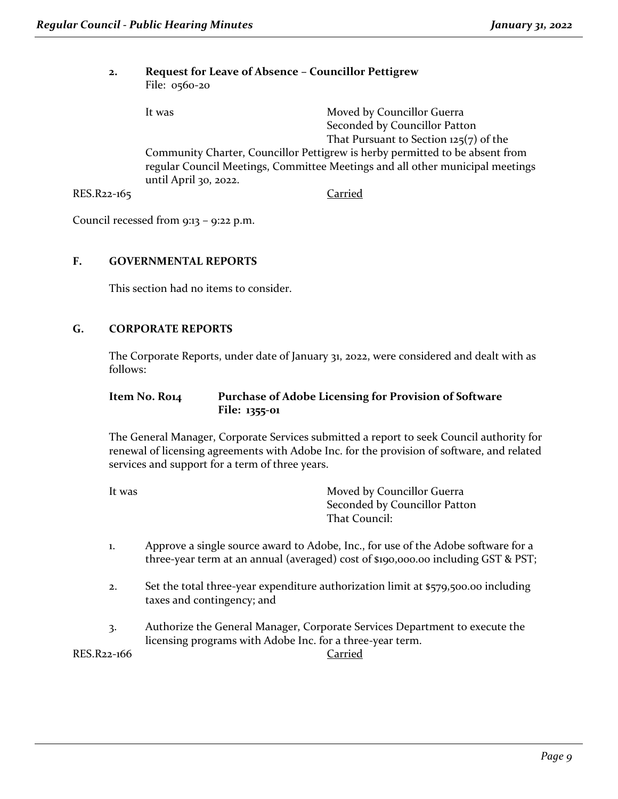#### **2. Request for Leave of Absence – Councillor Pettigrew** File: 0560-20

It was **Moved by Councillor Guerra** Seconded by Councillor Patton That Pursuant to Section  $125(7)$  of the Community Charter, Councillor Pettigrew is herby permitted to be absent from regular Council Meetings, Committee Meetings and all other municipal meetings until April 30, 2022. RES.R22-165 Carried

Council recessed from 9:13 – 9:22 p.m.

#### **F. GOVERNMENTAL REPORTS**

This section had no items to consider.

#### **G. CORPORATE REPORTS**

The Corporate Reports, under date of January 31, 2022, were considered and dealt with as follows:

#### **Item No. R014 Purchase of Adobe Licensing for Provision of Software File: 1355-01**

The General Manager, Corporate Services submitted a report to seek Council authority for renewal of licensing agreements with Adobe Inc. for the provision of software, and related services and support for a term of three years.

| It was | Moved by Councillor Guerra    |
|--------|-------------------------------|
|        | Seconded by Councillor Patton |
|        | That Council:                 |

- 1. Approve a single source award to Adobe, Inc., for use of the Adobe software for a three-year term at an annual (averaged) cost of \$190,000.00 including GST & PST;
- 2. Set the total three-year expenditure authorization limit at \$579,500.00 including taxes and contingency; and
- 3. Authorize the General Manager, Corporate Services Department to execute the licensing programs with Adobe Inc. for a three-year term.

RES.R22-166 Carried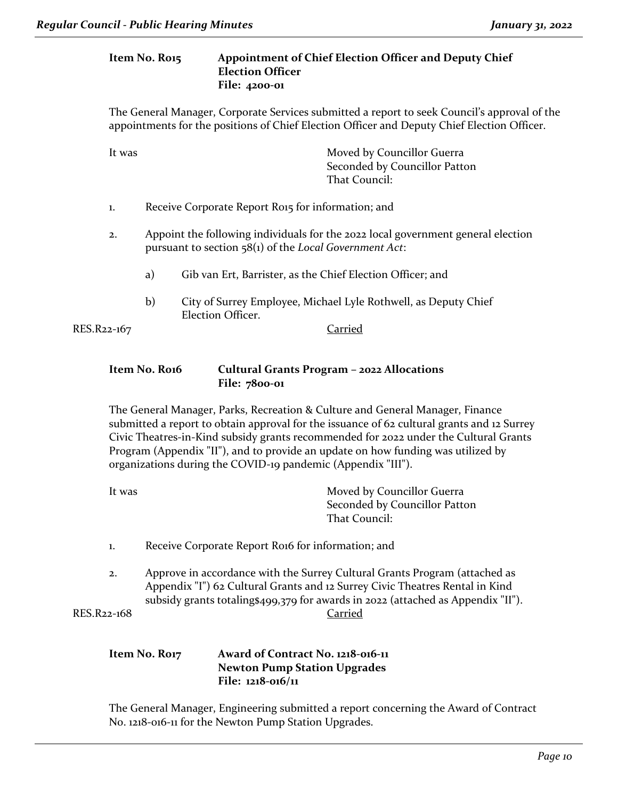#### **Item No. R015 Appointment of Chief Election Officer and Deputy Chief Election Officer File: 4200-01**

The General Manager, Corporate Services submitted a report to seek Council's approval of the appointments for the positions of Chief Election Officer and Deputy Chief Election Officer.

| It was | Moved by Councillor Guerra    |
|--------|-------------------------------|
|        | Seconded by Councillor Patton |
|        | That Council:                 |
|        |                               |

- 1. Receive Corporate Report Ro15 for information; and
- 2. Appoint the following individuals for the 2022 local government general election pursuant to section 58(1) of the *Local Government Act*:
	- a) Gib van Ert, Barrister, as the Chief Election Officer; and
	- b) City of Surrey Employee, Michael Lyle Rothwell, as Deputy Chief Election Officer.

RES.R22-167 Carried

#### **Item No. R016 Cultural Grants Program – 2022 Allocations File: 7800-01**

The General Manager, Parks, Recreation & Culture and General Manager, Finance submitted a report to obtain approval for the issuance of 62 cultural grants and 12 Surrey Civic Theatres-in-Kind subsidy grants recommended for 2022 under the Cultural Grants Program (Appendix "II"), and to provide an update on how funding was utilized by organizations during the COVID-19 pandemic (Appendix "III").

| Moved by Councillor Guerra    |
|-------------------------------|
| Seconded by Councillor Patton |
| That Council:                 |
|                               |

- 1. Receive Corporate Report Roi6 for information; and
- 2. Approve in accordance with the Surrey Cultural Grants Program (attached as Appendix "I") 62 Cultural Grants and 12 Surrey Civic Theatres Rental in Kind subsidy grants totaling\$499,379 for awards in 2022 (attached as Appendix "II"). RES.R22-168 Carried

#### **Item No. R017 Award of Contract No. 1218-016-11 Newton Pump Station Upgrades File: 1218-016/11**

The General Manager, Engineering submitted a report concerning the Award of Contract No. 1218-016-11 for the Newton Pump Station Upgrades.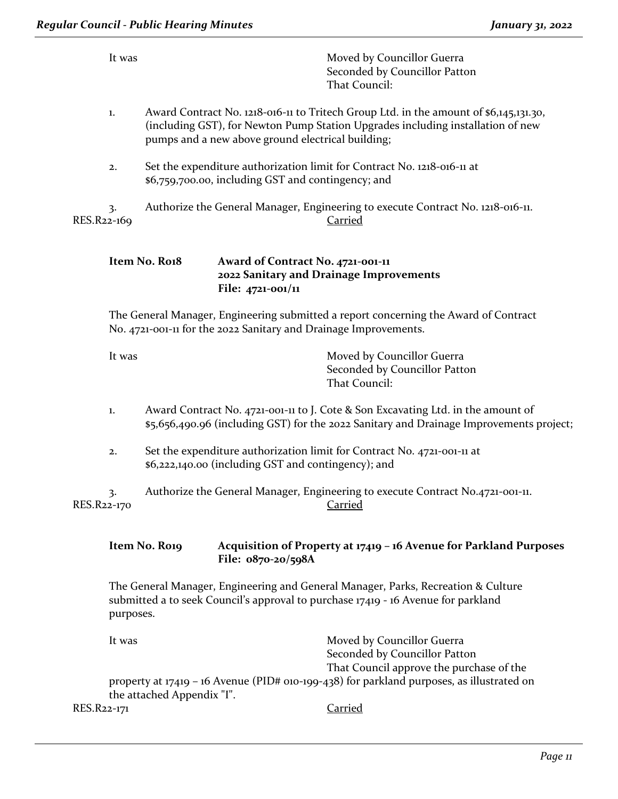|             |           | <b>Regular Council - Public Hearing Minutes</b> |                                                                  |                                                                                                                                                                                                      | January 31, 2022 |
|-------------|-----------|-------------------------------------------------|------------------------------------------------------------------|------------------------------------------------------------------------------------------------------------------------------------------------------------------------------------------------------|------------------|
|             | It was    |                                                 |                                                                  | Moved by Councillor Guerra<br>Seconded by Councillor Patton<br>That Council:                                                                                                                         |                  |
|             | 1.        |                                                 | pumps and a new above ground electrical building;                | Award Contract No. 1218-016-11 to Tritech Group Ltd. in the amount of \$6,145,131.30,<br>(including GST), for Newton Pump Station Upgrades including installation of new                             |                  |
|             | 2.        |                                                 | \$6,759,700.00, including GST and contingency; and               | Set the expenditure authorization limit for Contract No. 1218-016-11 at                                                                                                                              |                  |
| RES.R22-169 | 3.        |                                                 |                                                                  | Authorize the General Manager, Engineering to execute Contract No. 1218-016-11.<br><b>Carried</b>                                                                                                    |                  |
|             |           | Item No. Ro18                                   | Award of Contract No. 4721-001-11<br>File: 4721-001/11           | 2022 Sanitary and Drainage Improvements                                                                                                                                                              |                  |
|             |           |                                                 | No. 4721-001-11 for the 2022 Sanitary and Drainage Improvements. | The General Manager, Engineering submitted a report concerning the Award of Contract                                                                                                                 |                  |
|             | It was    |                                                 |                                                                  | Moved by Councillor Guerra<br>Seconded by Councillor Patton<br>That Council:                                                                                                                         |                  |
|             | 1.        |                                                 |                                                                  | Award Contract No. 4721-001-11 to J. Cote & Son Excavating Ltd. in the amount of<br>\$5,656,490.96 (including GST) for the 2022 Sanitary and Drainage Improvements project;                          |                  |
|             | 2.        |                                                 | \$6,222,140.00 (including GST and contingency); and              | Set the expenditure authorization limit for Contract No. 4721-001-11 at                                                                                                                              |                  |
| RES.R22-170 | 3.        |                                                 |                                                                  | Authorize the General Manager, Engineering to execute Contract No.4721-001-11.<br><b>Carried</b>                                                                                                     |                  |
|             |           | Item No. Ro19                                   | File: 0870-20/598A                                               | Acquisition of Property at 17419 - 16 Avenue for Parkland Purposes                                                                                                                                   |                  |
|             | purposes. |                                                 |                                                                  | The General Manager, Engineering and General Manager, Parks, Recreation & Culture<br>submitted a to seek Council's approval to purchase 17419 - 16 Avenue for parkland                               |                  |
|             | It was    |                                                 |                                                                  | Moved by Councillor Guerra<br>Seconded by Councillor Patton<br>That Council approve the purchase of the<br>property at 17419 - 16 Avenue (PID# 010-199-438) for parkland purposes, as illustrated on |                  |
| RES.R22-171 |           | the attached Appendix "I".                      |                                                                  | <b>Carried</b>                                                                                                                                                                                       |                  |
|             |           |                                                 |                                                                  |                                                                                                                                                                                                      |                  |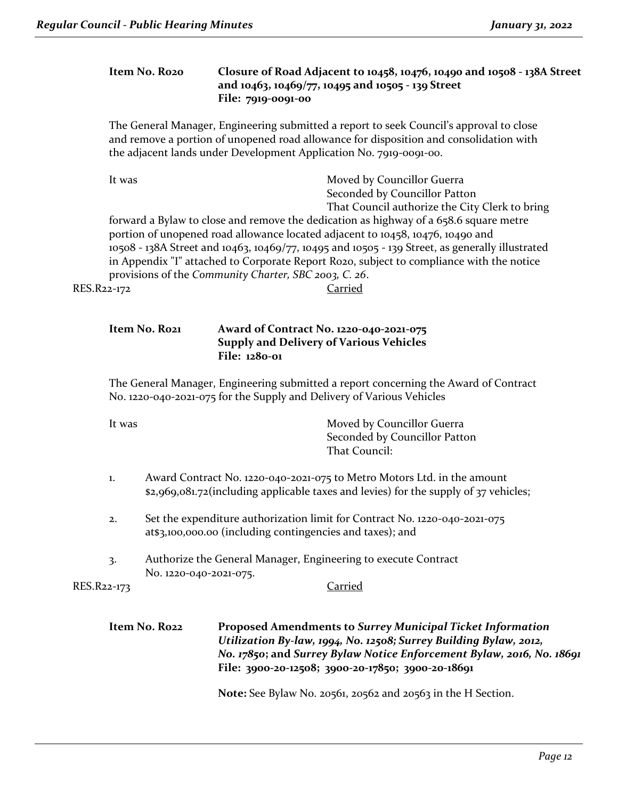#### **Item No. R020 Closure of Road Adjacent to 10458, 10476, 10490 and 10508 - 138A Street and 10463, 10469/77, 10495 and 10505 - 139 Street File: 7919-0091-00**

The General Manager, Engineering submitted a report to seek Council's approval to close and remove a portion of unopened road allowance for disposition and consolidation with the adjacent lands under Development Application No. 7919-0091-00.

| It was      | Moved by Councillor Guerra                                                                      |
|-------------|-------------------------------------------------------------------------------------------------|
|             | Seconded by Councillor Patton                                                                   |
|             | That Council authorize the City Clerk to bring                                                  |
|             | forward a Bylaw to close and remove the dedication as highway of a 658.6 square metre           |
|             | portion of unopened road allowance located adjacent to 10458, 10476, 10490 and                  |
|             | 10508 - 138A Street and 10463, 10469/77, 10495 and 10505 - 139 Street, as generally illustrated |
|             | in Appendix "I" attached to Corporate Report Rozo, subject to compliance with the notice        |
|             | provisions of the Community Charter, SBC 2003, C. 26.                                           |
| RES.R22-172 | Carried                                                                                         |

#### **Item No. R021 Award of Contract No. 1220-040-2021-075 Supply and Delivery of Various Vehicles File: 1280-01**

The General Manager, Engineering submitted a report concerning the Award of Contract No. 1220-040-2021-075 for the Supply and Delivery of Various Vehicles

It was **Moved by Councillor Guerra** Seconded by Councillor Patton That Council:

- 1. Award Contract No. 1220-040-2021-075 to Metro Motors Ltd. in the amount \$2,969,081.72(including applicable taxes and levies) for the supply of 37 vehicles;
- 2. Set the expenditure authorization limit for Contract No. 1220-040-2021-075 at\$3,100,000.00 (including contingencies and taxes); and
- 3. Authorize the General Manager, Engineering to execute Contract No. 1220-040-2021-075.

RES.R22-173

**Item No. R022 Proposed Amendments to** *Surrey Municipal Ticket Information Utilization By-law, 1994, No. 12508; Surrey Building Bylaw, 2012, No. 17850***; and** *Surrey Bylaw Notice Enforcement Bylaw, 2016, No. 18691* **File: 3900-20-12508; 3900-20-17850; 3900-20-18691**

**Note:** See Bylaw No. 20561, 20562 and 20563 in the H Section.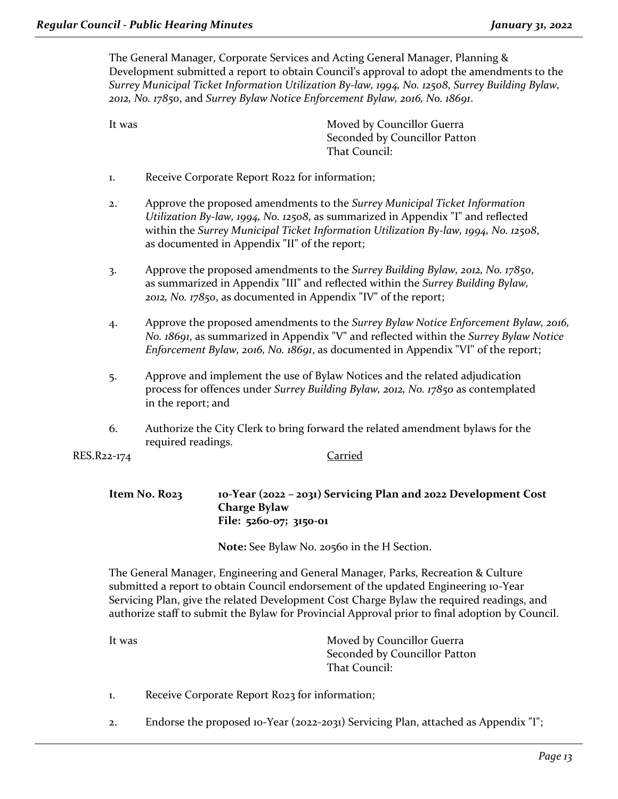The General Manager, Corporate Services and Acting General Manager, Planning & Development submitted a report to obtain Council's approval to adopt the amendments to the *Surrey Municipal Ticket Information Utilization By-law, 1994, No. 12508*, *Surrey Building Bylaw, 2012, No. 17850*, and *Surrey Bylaw Notice Enforcement Bylaw, 2016, No. 18691*.

It was **Moved by Councillor Guerra** Seconded by Councillor Patton That Council:

- 1. Receive Corporate Report R022 for information;
- 2. Approve the proposed amendments to the *Surrey Municipal Ticket Information Utilization By-law, 1994, No. 12508*, as summarized in Appendix "I" and reflected within the *Surrey Municipal Ticket Information Utilization By-law, 1994, No. 12508*, as documented in Appendix "II" of the report;
- 3. Approve the proposed amendments to the *Surrey Building Bylaw, 2012, No. 17850*, as summarized in Appendix "III" and reflected within the *Surrey Building Bylaw, 2012, No. 17850*, as documented in Appendix "IV" of the report;
- 4. Approve the proposed amendments to the *Surrey Bylaw Notice Enforcement Bylaw, 2016, No. 18691*, as summarized in Appendix "V" and reflected within the *Surrey Bylaw Notice Enforcement Bylaw, 2016, No. 18691*, as documented in Appendix "VI" of the report;
- 5. Approve and implement the use of Bylaw Notices and the related adjudication process for offences under *Surrey Building Bylaw, 2012, No. 17850* as contemplated in the report; and
- 6. Authorize the City Clerk to bring forward the related amendment bylaws for the required readings.

RES.R22-174 Carried

### **Item No. R023 10-Year (2022 – 2031) Servicing Plan and 2022 Development Cost Charge Bylaw File: 5260-07; 3150-01**

**Note:** See Bylaw No. 20560 in the H Section.

The General Manager, Engineering and General Manager, Parks, Recreation & Culture submitted a report to obtain Council endorsement of the updated Engineering 10-Year Servicing Plan, give the related Development Cost Charge Bylaw the required readings, and authorize staff to submit the Bylaw for Provincial Approval prior to final adoption by Council.

| It was | Moved by Councillor Guerra    |
|--------|-------------------------------|
|        | Seconded by Councillor Patton |
|        | That Council:                 |

- 1. Receive Corporate Report R023 for information;
- 2. Endorse the proposed 10-Year (2022-2031) Servicing Plan, attached as Appendix "I";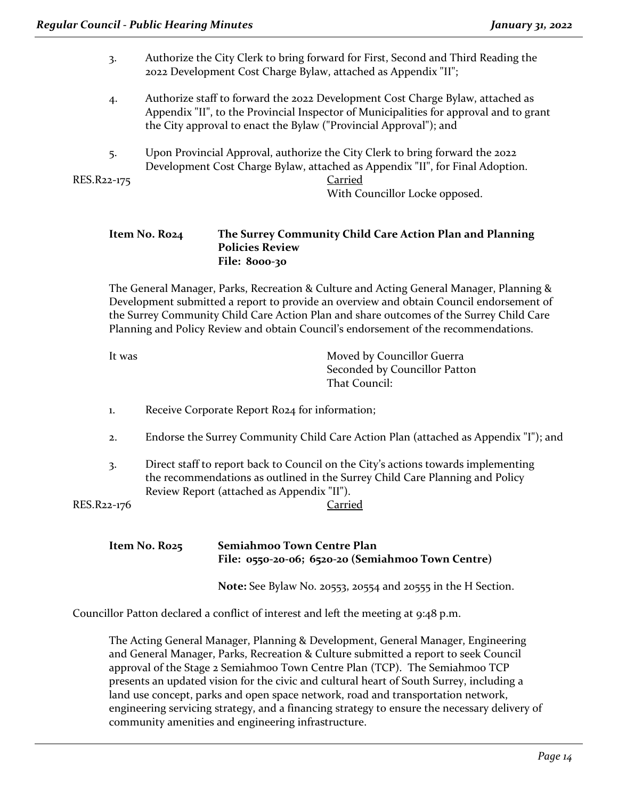| Authorize the City Clerk to bring forward for First, Second and Third Reading the |
|-----------------------------------------------------------------------------------|
| 2022 Development Cost Charge Bylaw, attached as Appendix "II";                    |

- 4. Authorize staff to forward the 2022 Development Cost Charge Bylaw, attached as Appendix "II", to the Provincial Inspector of Municipalities for approval and to grant the City approval to enact the Bylaw ("Provincial Approval"); and
- 5. Upon Provincial Approval, authorize the City Clerk to bring forward the 2022 Development Cost Charge Bylaw, attached as Appendix "II", for Final Adoption.

RES.R22-175 Carried

With Councillor Locke opposed.

## **Item No. R024 The Surrey Community Child Care Action Plan and Planning Policies Review**

The General Manager, Parks, Recreation & Culture and Acting General Manager, Planning & Development submitted a report to provide an overview and obtain Council endorsement of the Surrey Community Child Care Action Plan and share outcomes of the Surrey Child Care Planning and Policy Review and obtain Council's endorsement of the recommendations.

| Moved by Councillor Guerra    |
|-------------------------------|
| Seconded by Councillor Patton |
| That Council:                 |
|                               |

1. Receive Corporate Report R024 for information;

**File: 8000-30**

- 2. Endorse the Surrey Community Child Care Action Plan (attached as Appendix "I"); and
- 3. Direct staff to report back to Council on the City's actions towards implementing the recommendations as outlined in the Surrey Child Care Planning and Policy Review Report (attached as Appendix "II").

RES.R22-176 Carried

**Item No. R025 Semiahmoo Town Centre Plan File: 0550-20-06; 6520-20 (Semiahmoo Town Centre)**

**Note:** See Bylaw No. 20553, 20554 and 20555 in the H Section.

Councillor Patton declared a conflict of interest and left the meeting at 9:48 p.m.

The Acting General Manager, Planning & Development, General Manager, Engineering and General Manager, Parks, Recreation & Culture submitted a report to seek Council approval of the Stage 2 Semiahmoo Town Centre Plan (TCP). The Semiahmoo TCP presents an updated vision for the civic and cultural heart of South Surrey, including a land use concept, parks and open space network, road and transportation network, engineering servicing strategy, and a financing strategy to ensure the necessary delivery of community amenities and engineering infrastructure.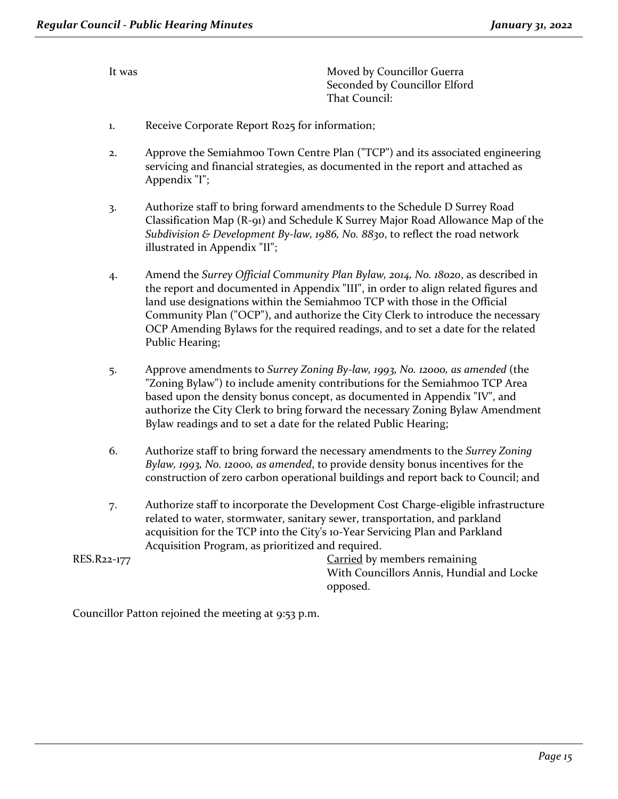It was **Moved by Councillor Guerra** Seconded by Councillor Elford That Council:

- 1. Receive Corporate Report R025 for information;
- 2. Approve the Semiahmoo Town Centre Plan ("TCP") and its associated engineering servicing and financial strategies, as documented in the report and attached as Appendix "I";
- 3. Authorize staff to bring forward amendments to the Schedule D Surrey Road Classification Map (R-91) and Schedule K Surrey Major Road Allowance Map of the *Subdivision & Development By-law, 1986, No. 8830*, to reflect the road network illustrated in Appendix "II";
- 4. Amend the *Surrey Official Community Plan Bylaw, 2014, No. 18020*, as described in the report and documented in Appendix "III", in order to align related figures and land use designations within the Semiahmoo TCP with those in the Official Community Plan ("OCP"), and authorize the City Clerk to introduce the necessary OCP Amending Bylaws for the required readings, and to set a date for the related Public Hearing;
- 5. Approve amendments to *Surrey Zoning By-law, 1993, No. 12000, as amended* (the "Zoning Bylaw") to include amenity contributions for the Semiahmoo TCP Area based upon the density bonus concept, as documented in Appendix "IV", and authorize the City Clerk to bring forward the necessary Zoning Bylaw Amendment Bylaw readings and to set a date for the related Public Hearing;
- 6. Authorize staff to bring forward the necessary amendments to the *Surrey Zoning Bylaw, 1993, No. 12000, as amended*, to provide density bonus incentives for the construction of zero carbon operational buildings and report back to Council; and
- 7. Authorize staff to incorporate the Development Cost Charge-eligible infrastructure related to water, stormwater, sanitary sewer, transportation, and parkland acquisition for the TCP into the City's 10-Year Servicing Plan and Parkland Acquisition Program, as prioritized and required.

RES.R22-177 Carried by members remaining With Councillors Annis, Hundial and Locke opposed.

Councillor Patton rejoined the meeting at 9:53 p.m.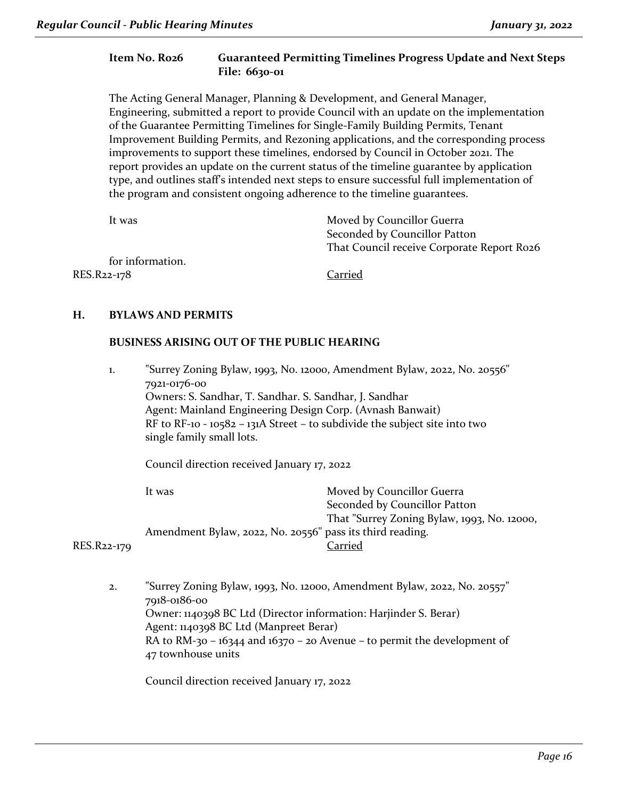#### **Item No. R026 Guaranteed Permitting Timelines Progress Update and Next Steps File: 6630-01**

The Acting General Manager, Planning & Development, and General Manager, Engineering, submitted a report to provide Council with an update on the implementation of the Guarantee Permitting Timelines for Single-Family Building Permits, Tenant Improvement Building Permits, and Rezoning applications, and the corresponding process improvements to support these timelines, endorsed by Council in October 2021. The report provides an update on the current status of the timeline guarantee by application type, and outlines staff's intended next steps to ensure successful full implementation of the program and consistent ongoing adherence to the timeline guarantees.

| It was           | Moved by Councillor Guerra                 |
|------------------|--------------------------------------------|
|                  | Seconded by Councillor Patton              |
|                  | That Council receive Corporate Report Ro26 |
| for information. |                                            |
| RES.R22-178      | Carried                                    |

### **H. BYLAWS AND PERMITS**

#### **BUSINESS ARISING OUT OF THE PUBLIC HEARING**

1. "Surrey Zoning Bylaw, 1993, No. 12000, Amendment Bylaw, 2022, No. 20556" 7921-0176-00 Owners: S. Sandhar, T. Sandhar. S. Sandhar, J. Sandhar Agent: Mainland Engineering Design Corp. (Avnash Banwait) RF to RF-10 - 10582 – 131A Street – to subdivide the subject site into two single family small lots.

Council direction received January 17, 2022

It was **Moved by Councillor Guerra** Seconded by Councillor Patton That "Surrey Zoning Bylaw, 1993, No. 12000, Amendment Bylaw, 2022, No. 20556" pass its third reading. RES.R22-179 Carried

2. "Surrey Zoning Bylaw, 1993, No. 12000, Amendment Bylaw, 2022, No. 20557" 7918-0186-00 Owner: 1140398 BC Ltd (Director information: Harjinder S. Berar) Agent: 1140398 BC Ltd (Manpreet Berar) RA to RM-30 – 16344 and 16370 – 20 Avenue – to permit the development of 47 townhouse units

Council direction received January 17, 2022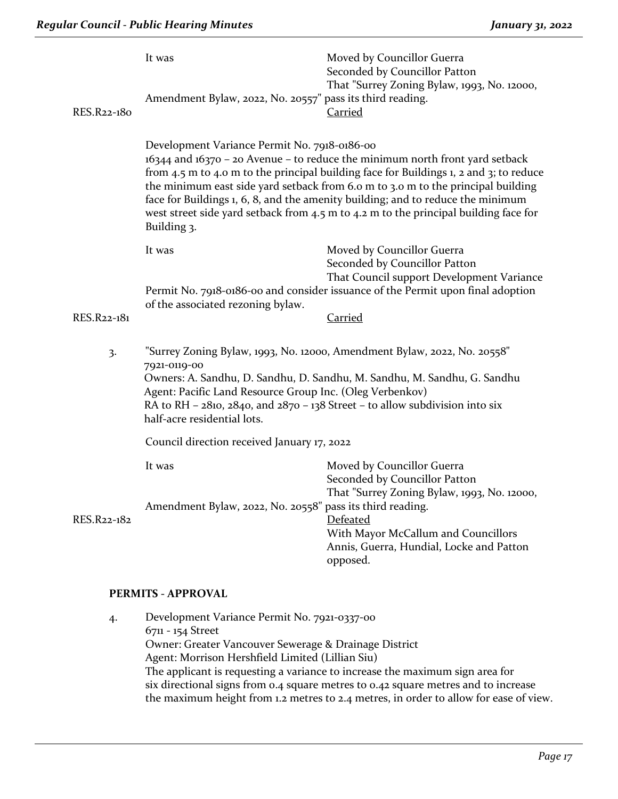| RES.R22-180    | It was<br>Amendment Bylaw, 2022, No. 20557" pass its third reading.                                                                                                                                                                                                                                                                                     | Moved by Councillor Guerra<br>Seconded by Councillor Patton<br>That "Surrey Zoning Bylaw, 1993, No. 12000,<br>Carried                                                                                                                                                                                                                                                                                                                                                                 |  |
|----------------|---------------------------------------------------------------------------------------------------------------------------------------------------------------------------------------------------------------------------------------------------------------------------------------------------------------------------------------------------------|---------------------------------------------------------------------------------------------------------------------------------------------------------------------------------------------------------------------------------------------------------------------------------------------------------------------------------------------------------------------------------------------------------------------------------------------------------------------------------------|--|
|                | Building 3.                                                                                                                                                                                                                                                                                                                                             | Development Variance Permit No. 7918-0186-00<br>16344 and 16370 - 20 Avenue - to reduce the minimum north front yard setback<br>from 4.5 m to 4.0 m to the principal building face for Buildings 1, 2 and 3; to reduce<br>the minimum east side yard setback from 6.0 m to 3.0 m to the principal building<br>face for Buildings 1, 6, 8, and the amenity building; and to reduce the minimum<br>west street side yard setback from 4.5 m to 4.2 m to the principal building face for |  |
|                | It was<br>of the associated rezoning bylaw.                                                                                                                                                                                                                                                                                                             | Moved by Councillor Guerra<br>Seconded by Councillor Patton<br>That Council support Development Variance<br>Permit No. 7918-0186-00 and consider issuance of the Permit upon final adoption                                                                                                                                                                                                                                                                                           |  |
| RES.R22-181    |                                                                                                                                                                                                                                                                                                                                                         | <u>Carried</u>                                                                                                                                                                                                                                                                                                                                                                                                                                                                        |  |
| $\overline{3}$ | "Surrey Zoning Bylaw, 1993, No. 12000, Amendment Bylaw, 2022, No. 20558"<br>7921-0119-00<br>Owners: A. Sandhu, D. Sandhu, D. Sandhu, M. Sandhu, M. Sandhu, G. Sandhu<br>Agent: Pacific Land Resource Group Inc. (Oleg Verbenkov)<br>RA to RH - $2810$ , $2840$ , and $2870 - 138$ Street - to allow subdivision into six<br>half-acre residential lots. |                                                                                                                                                                                                                                                                                                                                                                                                                                                                                       |  |
|                | Council direction received January 17, 2022                                                                                                                                                                                                                                                                                                             |                                                                                                                                                                                                                                                                                                                                                                                                                                                                                       |  |
| RES.R22-182    | It was<br>Amendment Bylaw, 2022, No. 20558" pass its third reading.                                                                                                                                                                                                                                                                                     | Moved by Councillor Guerra<br>Seconded by Councillor Patton<br>That "Surrey Zoning Bylaw, 1993, No. 12000,<br>Defeated<br>With Mayor McCallum and Councillors<br>Annis, Guerra, Hundial, Locke and Patton<br>opposed.                                                                                                                                                                                                                                                                 |  |

#### **PERMITS - APPROVAL**

4. Development Variance Permit No. 7921-0337-00 6711 - 154 Street Owner: Greater Vancouver Sewerage & Drainage District Agent: Morrison Hershfield Limited (Lillian Siu) The applicant is requesting a variance to increase the maximum sign area for six directional signs from 0.4 square metres to 0.42 square metres and to increase the maximum height from 1.2 metres to 2.4 metres, in order to allow for ease of view.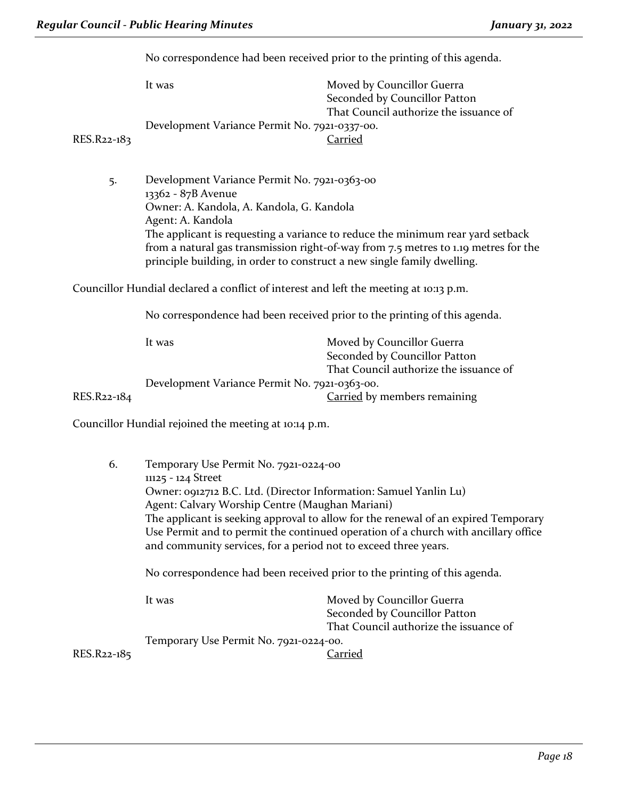No correspondence had been received prior to the printing of this agenda.

| RES.R22-183                                           | It was<br>Development Variance Permit No. 7921-0337-00.                                                                                                                                                                                                                                                                                                                                  | Moved by Councillor Guerra<br>Seconded by Councillor Patton<br>That Council authorize the issuance of<br><b>Carried</b> |
|-------------------------------------------------------|------------------------------------------------------------------------------------------------------------------------------------------------------------------------------------------------------------------------------------------------------------------------------------------------------------------------------------------------------------------------------------------|-------------------------------------------------------------------------------------------------------------------------|
| 5.                                                    | Development Variance Permit No. 7921-0363-00<br>13362 - 87B Avenue<br>Owner: A. Kandola, A. Kandola, G. Kandola<br>Agent: A. Kandola<br>The applicant is requesting a variance to reduce the minimum rear yard setback<br>from a natural gas transmission right-of-way from 7.5 metres to 1.19 metres for the<br>principle building, in order to construct a new single family dwelling. |                                                                                                                         |
|                                                       | Councillor Hundial declared a conflict of interest and left the meeting at 10:13 p.m.                                                                                                                                                                                                                                                                                                    |                                                                                                                         |
|                                                       | No correspondence had been received prior to the printing of this agenda.                                                                                                                                                                                                                                                                                                                |                                                                                                                         |
|                                                       | It was                                                                                                                                                                                                                                                                                                                                                                                   | Moved by Councillor Guerra<br>Seconded by Councillor Patton<br>That Council authorize the issuance of                   |
|                                                       | Development Variance Permit No. 7921-0363-00.                                                                                                                                                                                                                                                                                                                                            |                                                                                                                         |
| RES.R22-184                                           |                                                                                                                                                                                                                                                                                                                                                                                          | Carried by members remaining                                                                                            |
| Councillor Hundial rejoined the meeting at 10:14 p.m. |                                                                                                                                                                                                                                                                                                                                                                                          |                                                                                                                         |
| 6.                                                    | Temporary Use Permit No. 7921-0224-00<br>11125 - 124 Street<br>Owner: 0912712 B.C. Ltd. (Director Information: Samuel Yanlin Lu)<br>Agent: Calvary Worship Centre (Maughan Mariani)<br>The applicant is seeking approval to allow for the renewal of an expired Temporary                                                                                                                |                                                                                                                         |

Use Permit and to permit the continued operation of a church with ancillary office and community services, for a period not to exceed three years.

No correspondence had been received prior to the printing of this agenda.

|             | It was                                 | Moved by Councillor Guerra             |
|-------------|----------------------------------------|----------------------------------------|
|             |                                        | Seconded by Councillor Patton          |
|             |                                        | That Council authorize the issuance of |
|             | Temporary Use Permit No. 7921-0224-00. |                                        |
| RES.R22-185 |                                        | Carried                                |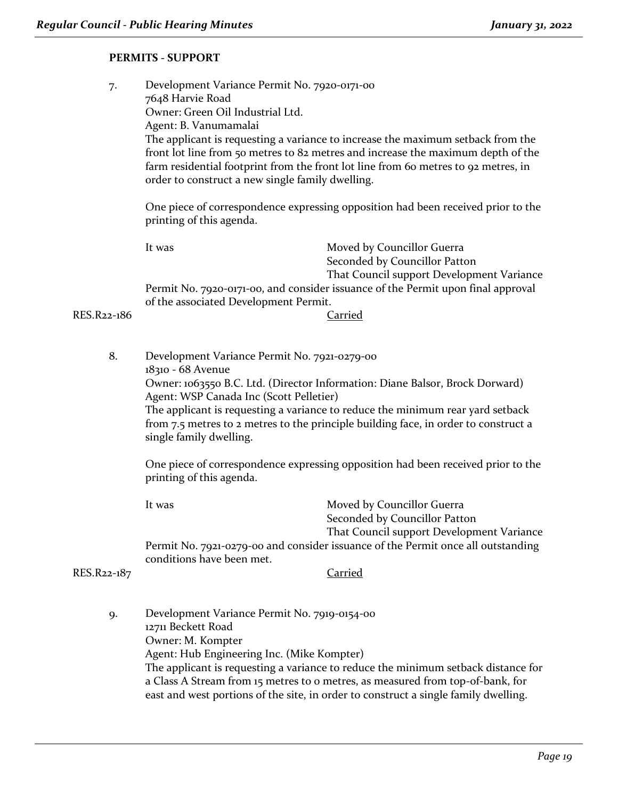#### **PERMITS - SUPPORT**

7. Development Variance Permit No. 7920-0171-00 7648 Harvie Road Owner: Green Oil Industrial Ltd. Agent: B. Vanumamalai The applicant is requesting a variance to increase the maximum setback from the front lot line from 50 metres to 82 metres and increase the maximum depth of the farm residential footprint from the front lot line from 60 metres to 92 metres, in order to construct a new single family dwelling. One piece of correspondence expressing opposition had been received prior to the printing of this agenda. It was Moved by Councillor Guerra Seconded by Councillor Patton That Council support Development Variance Permit No. 7920-0171-00, and consider issuance of the Permit upon final approval of the associated Development Permit. RES.R22-186 Carried 8. Development Variance Permit No. 7921-0279-00 18310 - 68 Avenue Owner: 1063550 B.C. Ltd. (Director Information: Diane Balsor, Brock Dorward) Agent: WSP Canada Inc (Scott Pelletier) The applicant is requesting a variance to reduce the minimum rear yard setback from 7.5 metres to 2 metres to the principle building face, in order to construct a single family dwelling. One piece of correspondence expressing opposition had been received prior to the printing of this agenda.

It was **Moved by Councillor Guerra** Seconded by Councillor Patton That Council support Development Variance Permit No. 7921-0279-00 and consider issuance of the Permit once all outstanding conditions have been met. RES.R22-187 Carried

9. Development Variance Permit No. 7919-0154-00 12711 Beckett Road Owner: M. Kompter Agent: Hub Engineering Inc. (Mike Kompter) The applicant is requesting a variance to reduce the minimum setback distance for a Class A Stream from 15 metres to 0 metres, as measured from top-of-bank, for east and west portions of the site, in order to construct a single family dwelling.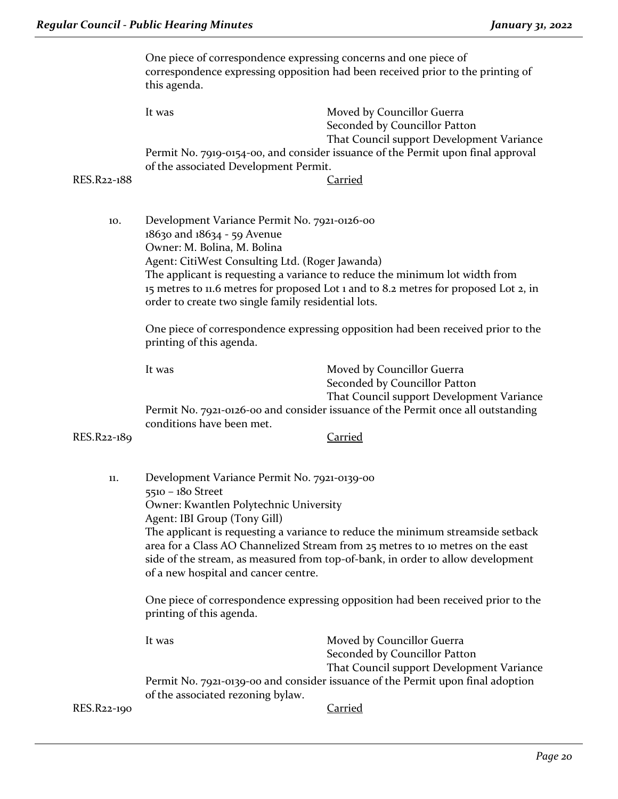|             | One piece of correspondence expressing concerns and one piece of<br>correspondence expressing opposition had been received prior to the printing of<br>this agenda.                                                                                                                          |                                                                                                                                                                     |  |
|-------------|----------------------------------------------------------------------------------------------------------------------------------------------------------------------------------------------------------------------------------------------------------------------------------------------|---------------------------------------------------------------------------------------------------------------------------------------------------------------------|--|
|             | It was                                                                                                                                                                                                                                                                                       | Moved by Councillor Guerra<br>Seconded by Councillor Patton<br>That Council support Development Variance                                                            |  |
|             | of the associated Development Permit.                                                                                                                                                                                                                                                        | Permit No. 7919-0154-00, and consider issuance of the Permit upon final approval                                                                                    |  |
| RES.R22-188 |                                                                                                                                                                                                                                                                                              | <b>Carried</b>                                                                                                                                                      |  |
| 10.         | Development Variance Permit No. 7921-0126-00<br>18630 and 18634 - 59 Avenue<br>Owner: M. Bolina, M. Bolina                                                                                                                                                                                   |                                                                                                                                                                     |  |
|             | Agent: CitiWest Consulting Ltd. (Roger Jawanda)<br>order to create two single family residential lots.                                                                                                                                                                                       | The applicant is requesting a variance to reduce the minimum lot width from<br>15 metres to 11.6 metres for proposed Lot 1 and to 8.2 metres for proposed Lot 2, in |  |
|             | printing of this agenda.                                                                                                                                                                                                                                                                     | One piece of correspondence expressing opposition had been received prior to the                                                                                    |  |
|             | It was                                                                                                                                                                                                                                                                                       | Moved by Councillor Guerra<br>Seconded by Councillor Patton<br>That Council support Development Variance                                                            |  |
|             | conditions have been met.                                                                                                                                                                                                                                                                    | Permit No. 7921-0126-00 and consider issuance of the Permit once all outstanding                                                                                    |  |
| RES.R22-189 |                                                                                                                                                                                                                                                                                              | <b>Carried</b>                                                                                                                                                      |  |
| 11.         | Development Variance Permit No. 7921-0139-00<br>5510 - 180 Street                                                                                                                                                                                                                            |                                                                                                                                                                     |  |
|             | Owner: Kwantlen Polytechnic University<br>Agent: IBI Group (Tony Gill)                                                                                                                                                                                                                       |                                                                                                                                                                     |  |
|             | The applicant is requesting a variance to reduce the minimum streamside setback<br>area for a Class AO Channelized Stream from 25 metres to 10 metres on the east<br>side of the stream, as measured from top-of-bank, in order to allow development<br>of a new hospital and cancer centre. |                                                                                                                                                                     |  |
|             | One piece of correspondence expressing opposition had been received prior to the<br>printing of this agenda.                                                                                                                                                                                 |                                                                                                                                                                     |  |
|             | It was                                                                                                                                                                                                                                                                                       | Moved by Councillor Guerra<br>Seconded by Councillor Patton                                                                                                         |  |
|             | That Council support Development Variance<br>Permit No. 7921-0139-00 and consider issuance of the Permit upon final adoption<br>of the associated rezoning bylaw.                                                                                                                            |                                                                                                                                                                     |  |
| RES.R22-190 |                                                                                                                                                                                                                                                                                              | <b>Carried</b>                                                                                                                                                      |  |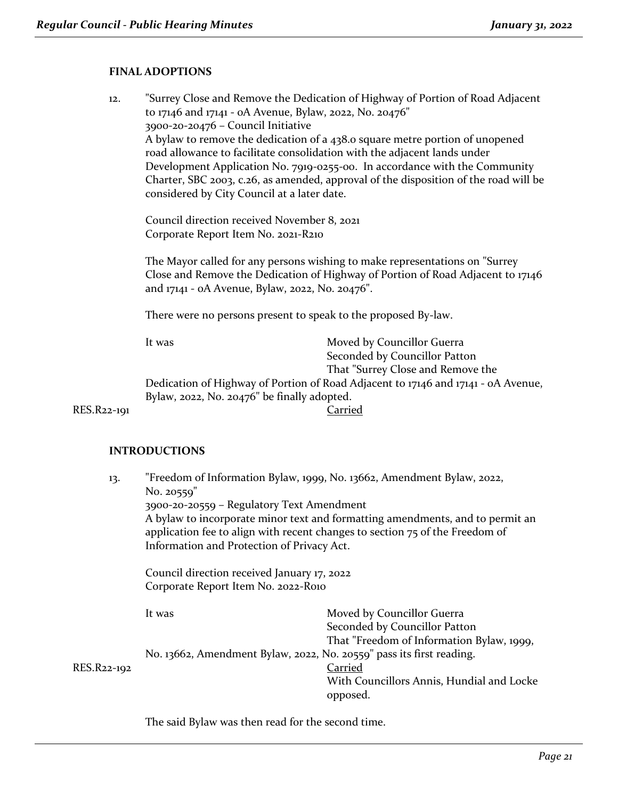#### **FINAL ADOPTIONS**

12. "Surrey Close and Remove the Dedication of Highway of Portion of Road Adjacent to 17146 and 17141 - 0A Avenue, Bylaw, 2022, No. 20476" 3900-20-20476 – Council Initiative A bylaw to remove the dedication of a 438.0 square metre portion of unopened road allowance to facilitate consolidation with the adjacent lands under Development Application No. 7919-0255-00. In accordance with the Community Charter, SBC 2003, c.26, as amended, approval of the disposition of the road will be considered by City Council at a later date.

Council direction received November 8, 2021 Corporate Report Item No. 2021-R210

The Mayor called for any persons wishing to make representations on "Surrey Close and Remove the Dedication of Highway of Portion of Road Adjacent to 17146 and 17141 - 0A Avenue, Bylaw, 2022, No. 20476".

There were no persons present to speak to the proposed By-law.

It was Moved by Councillor Guerra Seconded by Councillor Patton That "Surrey Close and Remove the Dedication of Highway of Portion of Road Adjacent to 17146 and 17141 - 0A Avenue, Bylaw, 2022, No. 20476" be finally adopted. RES.R22-191 Carried

#### **INTRODUCTIONS**

13. "Freedom of Information Bylaw, 1999, No. 13662, Amendment Bylaw, 2022, No. 20559" 3900-20-20559 – Regulatory Text Amendment A bylaw to incorporate minor text and formatting amendments, and to permit an application fee to align with recent changes to section 75 of the Freedom of Information and Protection of Privacy Act. Council direction received January 17, 2022 Corporate Report Item No. 2022-R010 It was **Moved by Councillor Guerra** Seconded by Councillor Patton That "Freedom of Information Bylaw, 1999, No. 13662, Amendment Bylaw, 2022, No. 20559" pass its first reading. RES.R22-192 Carried With Councillors Annis, Hundial and Locke opposed.

The said Bylaw was then read for the second time.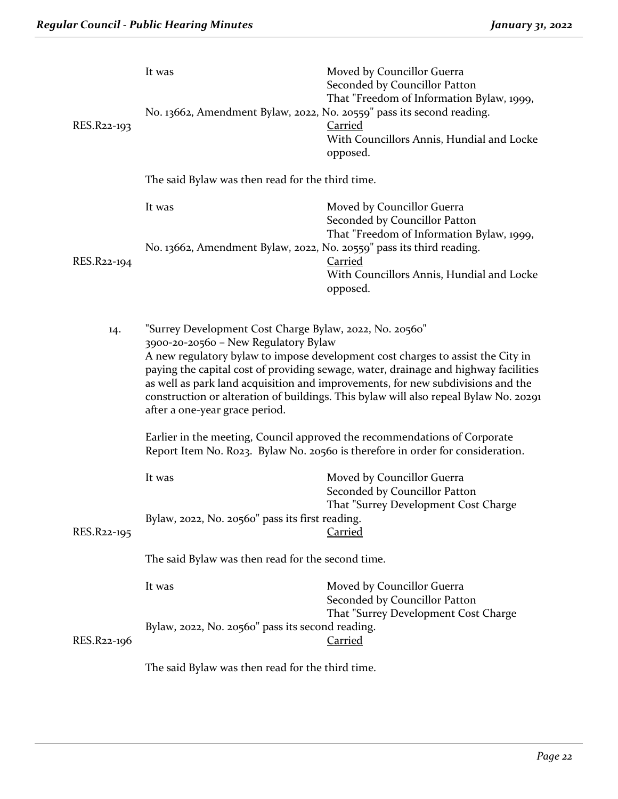|                                                   | It was                                                                                                                                                                                                                                                                                                                                                                                                                                                                                 | Moved by Councillor Guerra<br>Seconded by Councillor Patton<br>That "Freedom of Information Bylaw, 1999, |
|---------------------------------------------------|----------------------------------------------------------------------------------------------------------------------------------------------------------------------------------------------------------------------------------------------------------------------------------------------------------------------------------------------------------------------------------------------------------------------------------------------------------------------------------------|----------------------------------------------------------------------------------------------------------|
| RES.R22-193                                       | No. 13662, Amendment Bylaw, 2022, No. 20559" pass its second reading.                                                                                                                                                                                                                                                                                                                                                                                                                  | <b>Carried</b>                                                                                           |
|                                                   |                                                                                                                                                                                                                                                                                                                                                                                                                                                                                        | With Councillors Annis, Hundial and Locke<br>opposed.                                                    |
|                                                   | The said Bylaw was then read for the third time.                                                                                                                                                                                                                                                                                                                                                                                                                                       |                                                                                                          |
|                                                   | It was                                                                                                                                                                                                                                                                                                                                                                                                                                                                                 | Moved by Councillor Guerra<br>Seconded by Councillor Patton<br>That "Freedom of Information Bylaw, 1999, |
| RES.R22-194                                       | No. 13662, Amendment Bylaw, 2022, No. 20559" pass its third reading.                                                                                                                                                                                                                                                                                                                                                                                                                   | Carried                                                                                                  |
|                                                   |                                                                                                                                                                                                                                                                                                                                                                                                                                                                                        | With Councillors Annis, Hundial and Locke<br>opposed.                                                    |
| 14.                                               | "Surrey Development Cost Charge Bylaw, 2022, No. 20560"<br>3900-20-20560 - New Regulatory Bylaw<br>A new regulatory bylaw to impose development cost charges to assist the City in<br>paying the capital cost of providing sewage, water, drainage and highway facilities<br>as well as park land acquisition and improvements, for new subdivisions and the<br>construction or alteration of buildings. This bylaw will also repeal Bylaw No. 20291<br>after a one-year grace period. |                                                                                                          |
|                                                   | Earlier in the meeting, Council approved the recommendations of Corporate<br>Report Item No. Ro23. Bylaw No. 20560 is therefore in order for consideration.                                                                                                                                                                                                                                                                                                                            |                                                                                                          |
|                                                   | It was                                                                                                                                                                                                                                                                                                                                                                                                                                                                                 | Moved by Councillor Guerra<br>Seconded by Councillor Patton                                              |
| RES.R22-195                                       | Bylaw, 2022, No. 20560" pass its first reading.                                                                                                                                                                                                                                                                                                                                                                                                                                        | That "Surrey Development Cost Charge<br><b>Carried</b>                                                   |
| The said Bylaw was then read for the second time. |                                                                                                                                                                                                                                                                                                                                                                                                                                                                                        |                                                                                                          |
|                                                   | It was                                                                                                                                                                                                                                                                                                                                                                                                                                                                                 | Moved by Councillor Guerra<br>Seconded by Councillor Patton<br>That "Surrey Development Cost Charge      |
| RES.R22-196                                       | Bylaw, 2022, No. 20560" pass its second reading.                                                                                                                                                                                                                                                                                                                                                                                                                                       | <b>Carried</b>                                                                                           |
|                                                   | The said Bylaw was then read for the third time.                                                                                                                                                                                                                                                                                                                                                                                                                                       |                                                                                                          |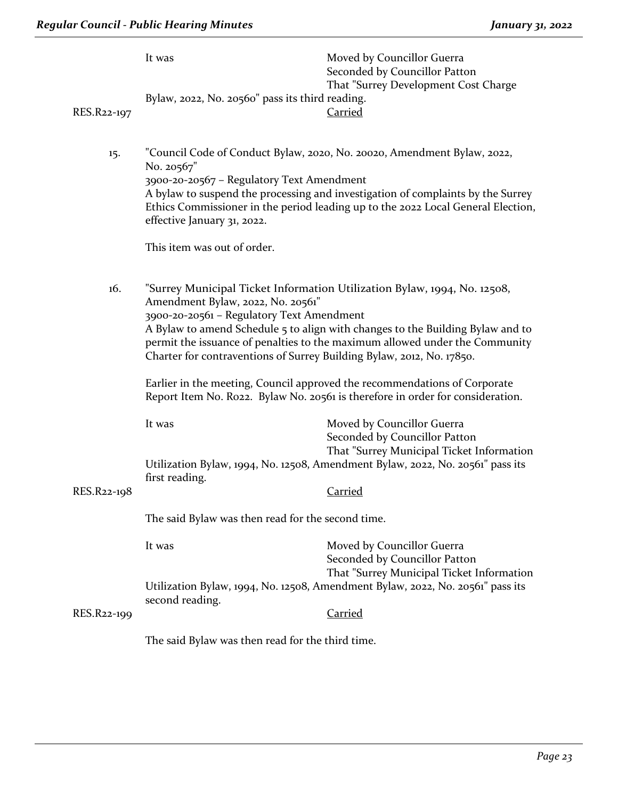|             | It was<br>Bylaw, 2022, No. 20560" pass its third reading.                                                                                                                                                                                                                                                                                                                                                                                                                                                                                                           | Moved by Councillor Guerra<br>Seconded by Councillor Patton<br>That "Surrey Development Cost Charge                                                                                                                                            |
|-------------|---------------------------------------------------------------------------------------------------------------------------------------------------------------------------------------------------------------------------------------------------------------------------------------------------------------------------------------------------------------------------------------------------------------------------------------------------------------------------------------------------------------------------------------------------------------------|------------------------------------------------------------------------------------------------------------------------------------------------------------------------------------------------------------------------------------------------|
| RES.R22-197 |                                                                                                                                                                                                                                                                                                                                                                                                                                                                                                                                                                     | Carried                                                                                                                                                                                                                                        |
| 15.         | No. 20567"<br>3900-20-20567 - Regulatory Text Amendment<br>effective January 31, 2022.<br>This item was out of order.                                                                                                                                                                                                                                                                                                                                                                                                                                               | "Council Code of Conduct Bylaw, 2020, No. 20020, Amendment Bylaw, 2022,<br>A bylaw to suspend the processing and investigation of complaints by the Surrey<br>Ethics Commissioner in the period leading up to the 2022 Local General Election, |
| 16.         | "Surrey Municipal Ticket Information Utilization Bylaw, 1994, No. 12508,<br>Amendment Bylaw, 2022, No. 20561"<br>3900-20-20561 - Regulatory Text Amendment<br>A Bylaw to amend Schedule 5 to align with changes to the Building Bylaw and to<br>permit the issuance of penalties to the maximum allowed under the Community<br>Charter for contraventions of Surrey Building Bylaw, 2012, No. 17850.<br>Earlier in the meeting, Council approved the recommendations of Corporate<br>Report Item No. Ro22. Bylaw No. 20561 is therefore in order for consideration. |                                                                                                                                                                                                                                                |
| RES.R22-198 | It was<br>first reading.                                                                                                                                                                                                                                                                                                                                                                                                                                                                                                                                            | Moved by Councillor Guerra<br>Seconded by Councillor Patton<br>That "Surrey Municipal Ticket Information<br>Utilization Bylaw, 1994, No. 12508, Amendment Bylaw, 2022, No. 20561" pass its<br><b>Carried</b>                                   |
|             | The said Bylaw was then read for the second time.                                                                                                                                                                                                                                                                                                                                                                                                                                                                                                                   |                                                                                                                                                                                                                                                |
|             | It was<br>second reading.                                                                                                                                                                                                                                                                                                                                                                                                                                                                                                                                           | Moved by Councillor Guerra<br>Seconded by Councillor Patton<br>That "Surrey Municipal Ticket Information<br>Utilization Bylaw, 1994, No. 12508, Amendment Bylaw, 2022, No. 20561" pass its                                                     |
| RES.R22-199 |                                                                                                                                                                                                                                                                                                                                                                                                                                                                                                                                                                     | <b>Carried</b>                                                                                                                                                                                                                                 |

The said Bylaw was then read for the third time.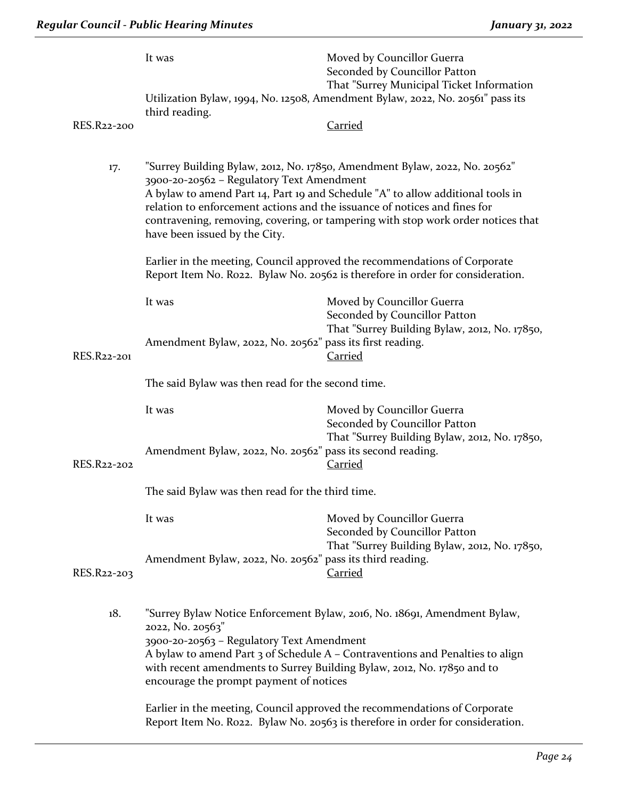|             | It was                                                                                                                                                                                                                                                                                                                                                                                                       | Moved by Councillor Guerra<br>Seconded by Councillor Patton<br>That "Surrey Municipal Ticket Information     |
|-------------|--------------------------------------------------------------------------------------------------------------------------------------------------------------------------------------------------------------------------------------------------------------------------------------------------------------------------------------------------------------------------------------------------------------|--------------------------------------------------------------------------------------------------------------|
|             | Utilization Bylaw, 1994, No. 12508, Amendment Bylaw, 2022, No. 20561" pass its<br>third reading.                                                                                                                                                                                                                                                                                                             |                                                                                                              |
| RES.R22-200 |                                                                                                                                                                                                                                                                                                                                                                                                              | <b>Carried</b>                                                                                               |
| 17.         | "Surrey Building Bylaw, 2012, No. 17850, Amendment Bylaw, 2022, No. 20562"<br>3900-20-20562 - Regulatory Text Amendment<br>A bylaw to amend Part 14, Part 19 and Schedule "A" to allow additional tools in<br>relation to enforcement actions and the issuance of notices and fines for<br>contravening, removing, covering, or tampering with stop work order notices that<br>have been issued by the City. |                                                                                                              |
|             | Earlier in the meeting, Council approved the recommendations of Corporate<br>Report Item No. Ro22. Bylaw No. 20562 is therefore in order for consideration.                                                                                                                                                                                                                                                  |                                                                                                              |
|             | It was                                                                                                                                                                                                                                                                                                                                                                                                       | Moved by Councillor Guerra<br>Seconded by Councillor Patton<br>That "Surrey Building Bylaw, 2012, No. 17850, |
| RES.R22-201 | Amendment Bylaw, 2022, No. 20562" pass its first reading.<br><b>Carried</b><br>The said Bylaw was then read for the second time.                                                                                                                                                                                                                                                                             |                                                                                                              |
|             |                                                                                                                                                                                                                                                                                                                                                                                                              |                                                                                                              |
|             | It was<br>Amendment Bylaw, 2022, No. 20562" pass its second reading.                                                                                                                                                                                                                                                                                                                                         | Moved by Councillor Guerra<br>Seconded by Councillor Patton<br>That "Surrey Building Bylaw, 2012, No. 17850, |
| RES.R22-202 |                                                                                                                                                                                                                                                                                                                                                                                                              | <b>Carried</b>                                                                                               |
|             | The said Bylaw was then read for the third time.                                                                                                                                                                                                                                                                                                                                                             |                                                                                                              |
|             | It was                                                                                                                                                                                                                                                                                                                                                                                                       | Moved by Councillor Guerra<br>Seconded by Councillor Patton<br>That "Surrey Building Bylaw, 2012, No. 17850, |
| RES.R22-203 | Amendment Bylaw, 2022, No. 20562" pass its third reading.                                                                                                                                                                                                                                                                                                                                                    | Carried                                                                                                      |
| 18.         | "Surrey Bylaw Notice Enforcement Bylaw, 2016, No. 18691, Amendment Bylaw,<br>2022, No. 20563"<br>3900-20-20563 - Regulatory Text Amendment<br>A bylaw to amend Part 3 of Schedule A - Contraventions and Penalties to align<br>with recent amendments to Surrey Building Bylaw, 2012, No. 17850 and to<br>encourage the prompt payment of notices                                                            |                                                                                                              |
|             | Earlier in the meeting, Council approved the recommendations of Corporate                                                                                                                                                                                                                                                                                                                                    |                                                                                                              |

Report Item No. R022. Bylaw No. 20563 is therefore in order for consideration.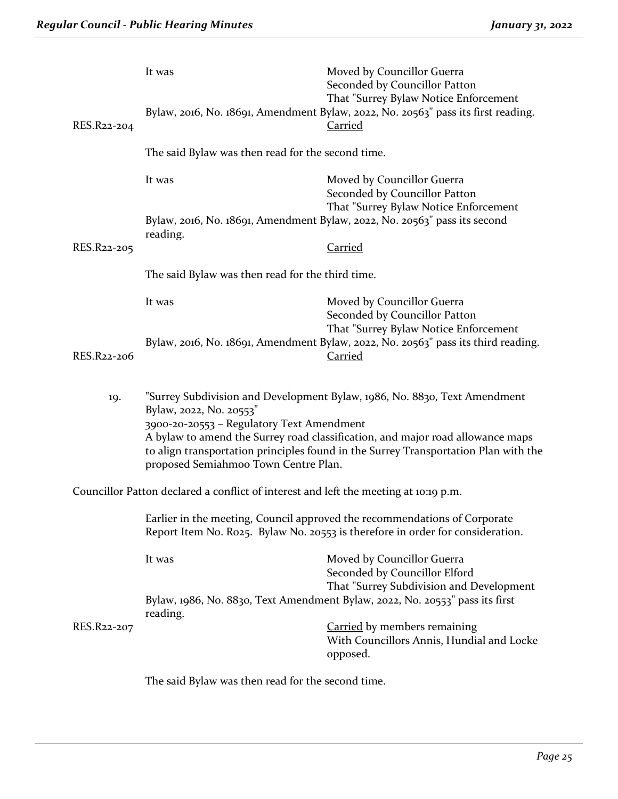|             | It was                                                                                                                                                                                                                                                                                                                                                             | Moved by Councillor Guerra<br>Seconded by Councillor Patton                                                                                  |
|-------------|--------------------------------------------------------------------------------------------------------------------------------------------------------------------------------------------------------------------------------------------------------------------------------------------------------------------------------------------------------------------|----------------------------------------------------------------------------------------------------------------------------------------------|
| RES.R22-204 |                                                                                                                                                                                                                                                                                                                                                                    | That "Surrey Bylaw Notice Enforcement<br>Bylaw, 2016, No. 18691, Amendment Bylaw, 2022, No. 20563" pass its first reading.<br><b>Carried</b> |
|             | The said Bylaw was then read for the second time.                                                                                                                                                                                                                                                                                                                  |                                                                                                                                              |
|             | It was                                                                                                                                                                                                                                                                                                                                                             | Moved by Councillor Guerra<br>Seconded by Councillor Patton                                                                                  |
|             | That "Surrey Bylaw Notice Enforcement<br>Bylaw, 2016, No. 18691, Amendment Bylaw, 2022, No. 20563" pass its second<br>reading.                                                                                                                                                                                                                                     |                                                                                                                                              |
| RES.R22-205 |                                                                                                                                                                                                                                                                                                                                                                    | <b>Carried</b>                                                                                                                               |
|             | The said Bylaw was then read for the third time.                                                                                                                                                                                                                                                                                                                   |                                                                                                                                              |
|             | It was                                                                                                                                                                                                                                                                                                                                                             | Moved by Councillor Guerra<br>Seconded by Councillor Patton<br>That "Surrey Bylaw Notice Enforcement                                         |
| RES.R22-206 |                                                                                                                                                                                                                                                                                                                                                                    | Bylaw, 2016, No. 18691, Amendment Bylaw, 2022, No. 20563" pass its third reading.<br><b>Carried</b>                                          |
| 19.         | "Surrey Subdivision and Development Bylaw, 1986, No. 8830, Text Amendment<br>Bylaw, 2022, No. 20553"<br>3900-20-20553 - Regulatory Text Amendment<br>A bylaw to amend the Surrey road classification, and major road allowance maps<br>to align transportation principles found in the Surrey Transportation Plan with the<br>proposed Semiahmoo Town Centre Plan. |                                                                                                                                              |
|             | Councillor Patton declared a conflict of interest and left the meeting at 10:19 p.m.                                                                                                                                                                                                                                                                               |                                                                                                                                              |
|             | Earlier in the meeting, Council approved the recommendations of Corporate<br>Report Item No. Ro25. Bylaw No. 20553 is therefore in order for consideration.                                                                                                                                                                                                        |                                                                                                                                              |
|             | It was                                                                                                                                                                                                                                                                                                                                                             | Moved by Councillor Guerra<br>Seconded by Councillor Elford                                                                                  |
|             | That "Surrey Subdivision and Development<br>Bylaw, 1986, No. 8830, Text Amendment Bylaw, 2022, No. 20553" pass its first                                                                                                                                                                                                                                           |                                                                                                                                              |
| RES.R22-207 | reading.                                                                                                                                                                                                                                                                                                                                                           | <b>Carried</b> by members remaining<br>With Councillors Annis, Hundial and Locke<br>opposed.                                                 |
|             | The said Bylaw was then read for the second time.                                                                                                                                                                                                                                                                                                                  |                                                                                                                                              |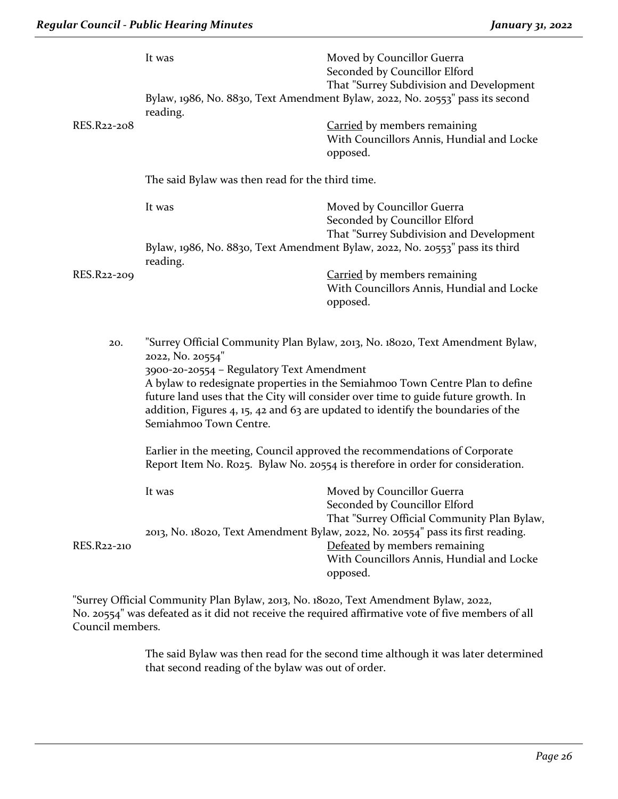| RES.R22-208 | It was<br>reading.                                                                                                                                                                                                                                                                                                                                                                                                                    | Moved by Councillor Guerra<br>Seconded by Councillor Elford<br>That "Surrey Subdivision and Development<br>Bylaw, 1986, No. 8830, Text Amendment Bylaw, 2022, No. 20553" pass its second<br><b>Carried</b> by members remaining<br>With Councillors Annis, Hundial and Locke<br>opposed. |
|-------------|---------------------------------------------------------------------------------------------------------------------------------------------------------------------------------------------------------------------------------------------------------------------------------------------------------------------------------------------------------------------------------------------------------------------------------------|------------------------------------------------------------------------------------------------------------------------------------------------------------------------------------------------------------------------------------------------------------------------------------------|
|             | The said Bylaw was then read for the third time.                                                                                                                                                                                                                                                                                                                                                                                      |                                                                                                                                                                                                                                                                                          |
|             | It was                                                                                                                                                                                                                                                                                                                                                                                                                                | Moved by Councillor Guerra<br>Seconded by Councillor Elford<br>That "Surrey Subdivision and Development                                                                                                                                                                                  |
|             | Bylaw, 1986, No. 8830, Text Amendment Bylaw, 2022, No. 20553" pass its third<br>reading.                                                                                                                                                                                                                                                                                                                                              |                                                                                                                                                                                                                                                                                          |
| RES.R22-209 |                                                                                                                                                                                                                                                                                                                                                                                                                                       | <b>Carried</b> by members remaining<br>With Councillors Annis, Hundial and Locke<br>opposed.                                                                                                                                                                                             |
| 20.         | "Surrey Official Community Plan Bylaw, 2013, No. 18020, Text Amendment Bylaw,<br>2022, No. 20554"<br>3900-20-20554 - Regulatory Text Amendment<br>A bylaw to redesignate properties in the Semiahmoo Town Centre Plan to define<br>future land uses that the City will consider over time to guide future growth. In<br>addition, Figures $4$ , 15, 42 and 63 are updated to identify the boundaries of the<br>Semiahmoo Town Centre. |                                                                                                                                                                                                                                                                                          |
|             | Earlier in the meeting, Council approved the recommendations of Corporate<br>Report Item No. Ro25. Bylaw No. 20554 is therefore in order for consideration.                                                                                                                                                                                                                                                                           |                                                                                                                                                                                                                                                                                          |
| RES.R22-210 | It was                                                                                                                                                                                                                                                                                                                                                                                                                                | Moved by Councillor Guerra<br>Seconded by Councillor Elford<br>That "Surrey Official Community Plan Bylaw,<br>2013, No. 18020, Text Amendment Bylaw, 2022, No. 20554" pass its first reading.<br>Defeated by members remaining<br>With Councillors Annis, Hundial and Locke<br>opposed.  |

"Surrey Official Community Plan Bylaw, 2013, No. 18020, Text Amendment Bylaw, 2022, No. 20554" was defeated as it did not receive the required affirmative vote of five members of all Council members.

> The said Bylaw was then read for the second time although it was later determined that second reading of the bylaw was out of order.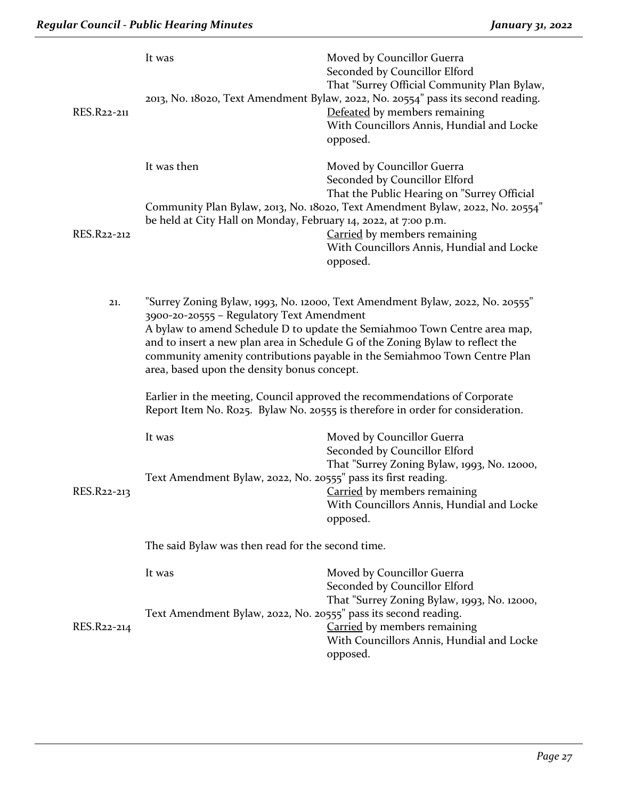|             | It was                                                                                                                                                                                                                                                                                                                                                                                                                | Moved by Councillor Guerra<br>Seconded by Councillor Elford<br>That "Surrey Official Community Plan Bylaw,                                                                 |  |
|-------------|-----------------------------------------------------------------------------------------------------------------------------------------------------------------------------------------------------------------------------------------------------------------------------------------------------------------------------------------------------------------------------------------------------------------------|----------------------------------------------------------------------------------------------------------------------------------------------------------------------------|--|
| RES.R22-211 |                                                                                                                                                                                                                                                                                                                                                                                                                       | 2013, No. 18020, Text Amendment Bylaw, 2022, No. 20554" pass its second reading.<br>Defeated by members remaining<br>With Councillors Annis, Hundial and Locke<br>opposed. |  |
|             | It was then                                                                                                                                                                                                                                                                                                                                                                                                           | Moved by Councillor Guerra<br>Seconded by Councillor Elford<br>That the Public Hearing on "Surrey Official                                                                 |  |
| RES.R22-212 | be held at City Hall on Monday, February 14, 2022, at 7:00 p.m.                                                                                                                                                                                                                                                                                                                                                       | Community Plan Bylaw, 2013, No. 18020, Text Amendment Bylaw, 2022, No. 20554"<br>Carried by members remaining<br>With Councillors Annis, Hundial and Locke<br>opposed.     |  |
| 21.         | "Surrey Zoning Bylaw, 1993, No. 12000, Text Amendment Bylaw, 2022, No. 20555"<br>3900-20-20555 - Regulatory Text Amendment<br>A bylaw to amend Schedule D to update the Semiahmoo Town Centre area map,<br>and to insert a new plan area in Schedule G of the Zoning Bylaw to reflect the<br>community amenity contributions payable in the Semiahmoo Town Centre Plan<br>area, based upon the density bonus concept. |                                                                                                                                                                            |  |
|             | Earlier in the meeting, Council approved the recommendations of Corporate<br>Report Item No. Ro25. Bylaw No. 20555 is therefore in order for consideration.                                                                                                                                                                                                                                                           |                                                                                                                                                                            |  |
|             | It was                                                                                                                                                                                                                                                                                                                                                                                                                | Moved by Councillor Guerra<br>Seconded by Councillor Elford<br>That "Surrey Zoning Bylaw, 1993, No. 12000,                                                                 |  |
| RES.R22-213 | Text Amendment Bylaw, 2022, No. 20555" pass its first reading.                                                                                                                                                                                                                                                                                                                                                        | <b>Carried</b> by members remaining<br>With Councillors Annis, Hundial and Locke<br>opposed.                                                                               |  |
|             | The said Bylaw was then read for the second time.                                                                                                                                                                                                                                                                                                                                                                     |                                                                                                                                                                            |  |
|             | It was                                                                                                                                                                                                                                                                                                                                                                                                                | Moved by Councillor Guerra<br>Seconded by Councillor Elford<br>That "Surrey Zoning Bylaw, 1993, No. 12000,                                                                 |  |
| RES.R22-214 | Text Amendment Bylaw, 2022, No. 20555" pass its second reading.                                                                                                                                                                                                                                                                                                                                                       | Carried by members remaining<br>With Councillors Annis, Hundial and Locke<br>opposed.                                                                                      |  |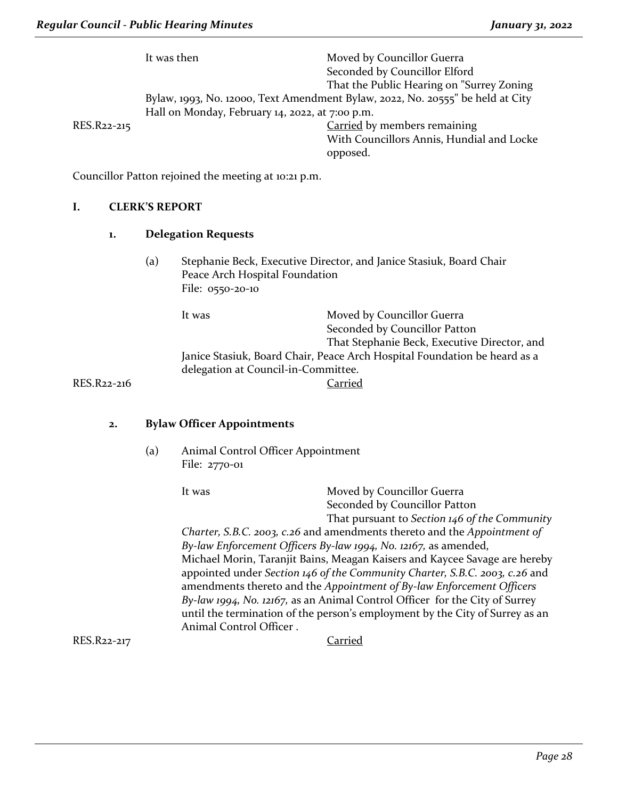|             | It was then                                     | Moved by Councillor Guerra                                                     |
|-------------|-------------------------------------------------|--------------------------------------------------------------------------------|
|             |                                                 | Seconded by Councillor Elford                                                  |
|             |                                                 | That the Public Hearing on "Surrey Zoning                                      |
|             |                                                 | Bylaw, 1993, No. 12000, Text Amendment Bylaw, 2022, No. 20555" be held at City |
|             | Hall on Monday, February 14, 2022, at 7:00 p.m. |                                                                                |
| RES.R22-215 |                                                 | Carried by members remaining                                                   |
|             |                                                 | With Councillors Annis, Hundial and Locke                                      |
|             |                                                 | opposed.                                                                       |
|             |                                                 |                                                                                |

Councillor Patton rejoined the meeting at 10:21 p.m.

#### **I. CLERK'S REPORT**

#### **1. Delegation Requests**

(a) Stephanie Beck, Executive Director, and Janice Stasiuk, Board Chair Peace Arch Hospital Foundation File: 0550-20-10

It was **Moved by Councillor Guerra** Seconded by Councillor Patton That Stephanie Beck, Executive Director, and Janice Stasiuk, Board Chair, Peace Arch Hospital Foundation be heard as a delegation at Council-in-Committee. RES.R22-216 Carried

#### **2. Bylaw Officer Appointments**

(a) Animal Control Officer Appointment File: 2770-01

It was Moved by Councillor Guerra Seconded by Councillor Patton That pursuant to *Section 146 of the Community Charter, S.B.C. 2003, c.26* and amendments thereto and the *Appointment of By-law Enforcement Officers By-law 1994, No. 12167,* as amended, Michael Morin, Taranjit Bains, Meagan Kaisers and Kaycee Savage are hereby appointed under *Section 146 of the Community Charter, S.B.C. 2003, c.26* and amendments thereto and the *Appointment of By-law Enforcement Officers By-law 1994, No. 12167,* as an Animal Control Officer for the City of Surrey until the termination of the person's employment by the City of Surrey as an Animal Control Officer . RES.R22-217 Carried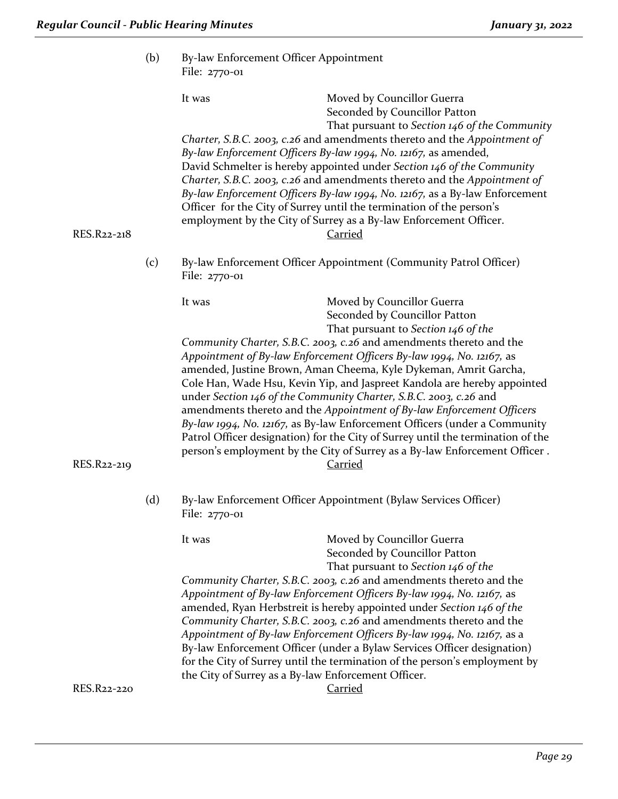|             | (b) | By-law Enforcement Officer Appointment<br>File: 2770-01 |                                                                                                                                                                                                                                                                                                                                                                                                                                                                                                                                                                                                                                                                                                            |
|-------------|-----|---------------------------------------------------------|------------------------------------------------------------------------------------------------------------------------------------------------------------------------------------------------------------------------------------------------------------------------------------------------------------------------------------------------------------------------------------------------------------------------------------------------------------------------------------------------------------------------------------------------------------------------------------------------------------------------------------------------------------------------------------------------------------|
|             |     | It was                                                  | Moved by Councillor Guerra<br>Seconded by Councillor Patton<br>That pursuant to Section 146 of the Community<br>Charter, S.B.C. 2003, c.26 and amendments thereto and the Appointment of<br>By-law Enforcement Officers By-law 1994, No. 12167, as amended,<br>David Schmelter is hereby appointed under Section 146 of the Community                                                                                                                                                                                                                                                                                                                                                                      |
| RES.R22-218 |     |                                                         | Charter, S.B.C. 2003, c.26 and amendments thereto and the Appointment of<br>By-law Enforcement Officers By-law 1994, No. 12167, as a By-law Enforcement<br>Officer for the City of Surrey until the termination of the person's<br>employment by the City of Surrey as a By-law Enforcement Officer.<br><b>Carried</b>                                                                                                                                                                                                                                                                                                                                                                                     |
|             | (c) | File: 2770-01                                           | By-law Enforcement Officer Appointment (Community Patrol Officer)                                                                                                                                                                                                                                                                                                                                                                                                                                                                                                                                                                                                                                          |
|             |     | It was                                                  | Moved by Councillor Guerra<br>Seconded by Councillor Patton<br>That pursuant to Section 146 of the                                                                                                                                                                                                                                                                                                                                                                                                                                                                                                                                                                                                         |
| RES.R22-219 |     |                                                         | Community Charter, S.B.C. 2003, c.26 and amendments thereto and the<br>Appointment of By-law Enforcement Officers By-law 1994, No. 12167, as<br>amended, Justine Brown, Aman Cheema, Kyle Dykeman, Amrit Garcha,<br>Cole Han, Wade Hsu, Kevin Yip, and Jaspreet Kandola are hereby appointed<br>under Section 146 of the Community Charter, S.B.C. 2003, c.26 and<br>amendments thereto and the Appointment of By-law Enforcement Officers<br>By-law 1994, No. 12167, as By-law Enforcement Officers (under a Community<br>Patrol Officer designation) for the City of Surrey until the termination of the<br>person's employment by the City of Surrey as a By-law Enforcement Officer.<br><b>Carried</b> |
|             | (d) | File: 2770-01                                           | By-law Enforcement Officer Appointment (Bylaw Services Officer)                                                                                                                                                                                                                                                                                                                                                                                                                                                                                                                                                                                                                                            |
|             |     | It was                                                  | Moved by Councillor Guerra<br>Seconded by Councillor Patton<br>That pursuant to Section 146 of the                                                                                                                                                                                                                                                                                                                                                                                                                                                                                                                                                                                                         |
|             |     | the City of Surrey as a By-law Enforcement Officer.     | Community Charter, S.B.C. 2003, c.26 and amendments thereto and the<br>Appointment of By-law Enforcement Officers By-law 1994, No. 12167, as<br>amended, Ryan Herbstreit is hereby appointed under Section 146 of the<br>Community Charter, S.B.C. 2003, c.26 and amendments thereto and the<br>Appointment of By-law Enforcement Officers By-law 1994, No. 12167, as a<br>By-law Enforcement Officer (under a Bylaw Services Officer designation)<br>for the City of Surrey until the termination of the person's employment by                                                                                                                                                                           |
| RES.R22-220 |     |                                                         | <b>Carried</b>                                                                                                                                                                                                                                                                                                                                                                                                                                                                                                                                                                                                                                                                                             |

*Page 29*